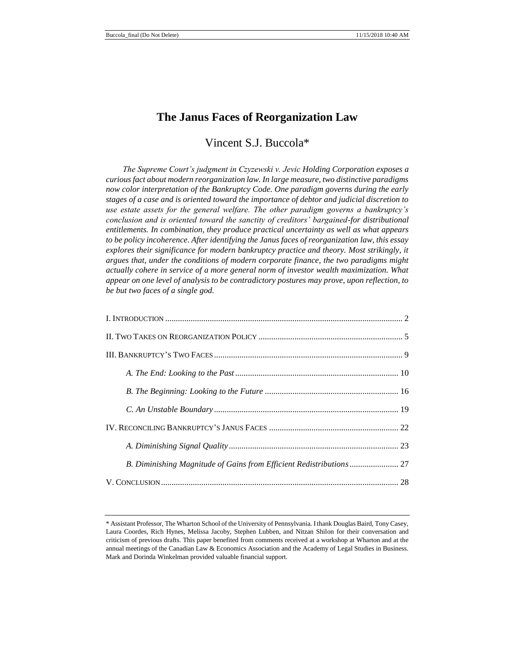# **The Janus Faces of Reorganization Law**

# Vincent S.J. Buccola\*

*The Supreme Court's judgment in Czyzewski v. Jevic Holding Corporation exposes a curious fact about modern reorganization law. In large measure, two distinctive paradigms now color interpretation of the Bankruptcy Code. One paradigm governs during the early stages of a case and is oriented toward the importance of debtor and judicial discretion to use estate assets for the general welfare. The other paradigm governs a bankruptcy's conclusion and is oriented toward the sanctity of creditors' bargained-for distributional entitlements. In combination, they produce practical uncertainty as well as what appears to be policy incoherence. After identifying the Janus faces of reorganization law, this essay explores their significance for modern bankruptcy practice and theory. Most strikingly, it argues that, under the conditions of modern corporate finance, the two paradigms might actually cohere in service of a more general norm of investor wealth maximization. What appear on one level of analysis to be contradictory postures may prove, upon reflection, to be but two faces of a single god.*

| B. Diminishing Magnitude of Gains from Efficient Redistributions  27 |  |
|----------------------------------------------------------------------|--|
|                                                                      |  |

<sup>\*</sup> Assistant Professor, The Wharton School of the University of Pennsylvania. I thank Douglas Baird, Tony Casey, Laura Coordes, Rich Hynes, Melissa Jacoby, Stephen Lubben, and Nitzan Shilon for their conversation and criticism of previous drafts. This paper benefited from comments received at a workshop at Wharton and at the annual meetings of the Canadian Law & Economics Association and the Academy of Legal Studies in Business. Mark and Dorinda Winkelman provided valuable financial support.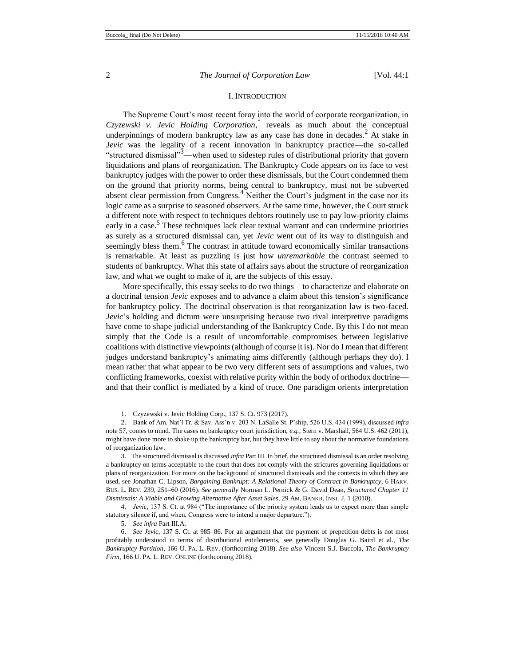#### I. INTRODUCTION

The Supreme Court's most recent foray into the world of corporate reorganization, in *Czyzewski v. Jevic Holding Corporation*, reveals as much about the conceptual underpinnings of modern bankruptcy law as any case has done in decades.<sup>2</sup> At stake in *Jevic* was the legality of a recent innovation in bankruptcy practice—the so-called "structured dismissal"3—when used to sidestep rules of distributional priority that govern liquidations and plans of reorganization. The Bankruptcy Code appears on its face to vest bankruptcy judges with the power to order these dismissals, but the Court condemned them on the ground that priority norms, being central to bankruptcy, must not be subverted absent clear permission from Congress.<sup>4</sup> Neither the Court's judgment in the case nor its logic came as a surprise to seasoned observers. At the same time, however, the Court struck a different note with respect to techniques debtors routinely use to pay low-priority claims early in a case.<sup>5</sup> These techniques lack clear textual warrant and can undermine priorities as surely as a structured dismissal can, yet *Jevic* went out of its way to distinguish and seemingly bless them.<sup>6</sup> The contrast in attitude toward economically similar transactions is remarkable. At least as puzzling is just how *unremarkable* the contrast seemed to students of bankruptcy. What this state of affairs says about the structure of reorganization law, and what we ought to make of it, are the subjects of this essay.

More specifically, this essay seeks to do two things—to characterize and elaborate on a doctrinal tension *Jevic* exposes and to advance a claim about this tension's significance for bankruptcy policy. The doctrinal observation is that reorganization law is two-faced. *Jevic*'s holding and dictum were unsurprising because two rival interpretive paradigms have come to shape judicial understanding of the Bankruptcy Code. By this I do not mean simply that the Code is a result of uncomfortable compromises between legislative coalitions with distinctive viewpoints (although of course it is). Nor do I mean that different judges understand bankruptcy's animating aims differently (although perhaps they do). I mean rather that what appear to be two very different sets of assumptions and values, two conflicting frameworks, coexist with relative purity within the body of orthodox doctrine and that their conflict is mediated by a kind of truce. One paradigm orients interpretation

4. *Jevic*, 137 S. Ct. at 984 ("The importance of the priority system leads us to expect more than simple statutory silence if, and when, Congress were to intend a major departure.").

<sup>1.</sup> Czyzewski v. Jevic Holding Corp., 137 S. Ct. 973 (2017).

<sup>2.</sup> Bank of Am. Nat'l Tr. & Sav. Ass'n v. 203 N. LaSalle St. P'ship, 526 U.S. 434 (1999), discussed *infra* note 57, comes to mind. The cases on bankruptcy court jurisdiction, *e.g.,* Stern v. Marshall, 564 U.S. 462 (2011), might have done more to shake up the bankruptcy bar, but they have little to say about the normative foundations of reorganization law.

<sup>3.</sup> The structured dismissal is discussed *infra* Part III. In brief, the structured dismissal is an order resolving a bankruptcy on terms acceptable to the court that does not comply with the strictures governing liquidations or plans of reorganization. For more on the background of structured dismissals and the contexts in which they are used, see Jonathan C. Lipson, *Bargaining Bankrupt: A Relational Theory of Contract in Bankruptcy*, 6 HARV. BUS. L. REV. 239, 251–60 (2016). *See generally* Norman L. Pernick & G. David Dean, *Structured Chapter 11 Dismissals: A Viable and Growing Alternative After Asset Sales*, 29 AM. BANKR. INST. J. 1 (2010).

<sup>5.</sup> *See infra* Part III.A.

<sup>6.</sup> *See Jevic*, 137 S. Ct. at 985–86. For an argument that the payment of prepetition debts is not most profitably understood in terms of distributional entitlements, see generally Douglas G. Baird et al., *The Bankruptcy Partition*, 166 U. PA. L. REV. (forthcoming 2018). *See also* Vincent S.J. Buccola, *The Bankruptcy Firm*, 166 U. PA. L. REV. ONLINE (forthcoming 2018).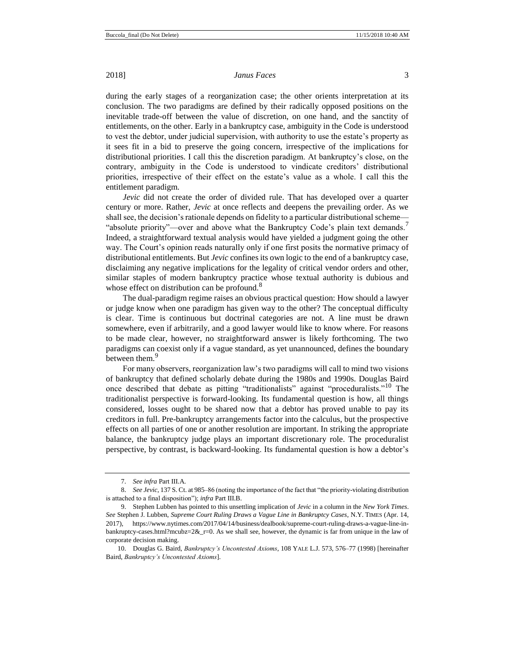during the early stages of a reorganization case; the other orients interpretation at its conclusion. The two paradigms are defined by their radically opposed positions on the inevitable trade-off between the value of discretion, on one hand, and the sanctity of entitlements, on the other. Early in a bankruptcy case, ambiguity in the Code is understood to vest the debtor, under judicial supervision, with authority to use the estate's property as it sees fit in a bid to preserve the going concern, irrespective of the implications for distributional priorities. I call this the discretion paradigm. At bankruptcy's close, on the contrary, ambiguity in the Code is understood to vindicate creditors' distributional priorities, irrespective of their effect on the estate's value as a whole. I call this the entitlement paradigm.

*Jevic* did not create the order of divided rule. That has developed over a quarter century or more. Rather, *Jevic* at once reflects and deepens the prevailing order. As we shall see, the decision's rationale depends on fidelity to a particular distributional scheme— "absolute priority"—over and above what the Bankruptcy Code's plain text demands.<sup>7</sup> Indeed, a straightforward textual analysis would have yielded a judgment going the other way. The Court's opinion reads naturally only if one first posits the normative primacy of distributional entitlements. But *Jevic* confines its own logic to the end of a bankruptcy case, disclaiming any negative implications for the legality of critical vendor orders and other, similar staples of modern bankruptcy practice whose textual authority is dubious and whose effect on distribution can be profound.<sup>8</sup>

The dual-paradigm regime raises an obvious practical question: How should a lawyer or judge know when one paradigm has given way to the other? The conceptual difficulty is clear. Time is continuous but doctrinal categories are not. A line must be drawn somewhere, even if arbitrarily, and a good lawyer would like to know where. For reasons to be made clear, however, no straightforward answer is likely forthcoming. The two paradigms can coexist only if a vague standard, as yet unannounced, defines the boundary between them.<sup>9</sup>

<span id="page-2-0"></span>For many observers, reorganization law's two paradigms will call to mind two visions of bankruptcy that defined scholarly debate during the 1980s and 1990s. Douglas Baird once described that debate as pitting "traditionalists" against "proceduralists."<sup>10</sup> The traditionalist perspective is forward-looking. Its fundamental question is how, all things considered, losses ought to be shared now that a debtor has proved unable to pay its creditors in full. Pre-bankruptcy arrangements factor into the calculus, but the prospective effects on all parties of one or another resolution are important. In striking the appropriate balance, the bankruptcy judge plays an important discretionary role. The proceduralist perspective, by contrast, is backward-looking. Its fundamental question is how a debtor's

<sup>7.</sup> *See infra* Part III.A.

<sup>8.</sup> *See Jevic*, 137 S. Ct. at 985–86 (noting the importance of the fact that "the priority-violating distribution is attached to a final disposition"); *infra* Part III.B.

<sup>9.</sup> Stephen Lubben has pointed to this unsettling implication of *Jevic* in a column in the *New York Times*. *See* Stephen J. Lubben, *Supreme Court Ruling Draws a Vague Line in Bankruptcy Cases*, N.Y. TIMES (Apr. 14, 2017), https://www.nytimes.com/2017/04/14/business/dealbook/supreme-court-ruling-draws-a-vague-line-inbankruptcy-cases.html?mcubz=2&\_r=0. As we shall see, however, the dynamic is far from unique in the law of corporate decision making.

<sup>10.</sup> Douglas G. Baird, *Bankruptcy's Uncontested Axioms*, 108 YALE L.J. 573, 576–77 (1998) [hereinafter Baird, *Bankruptcy's Uncontested Axioms*].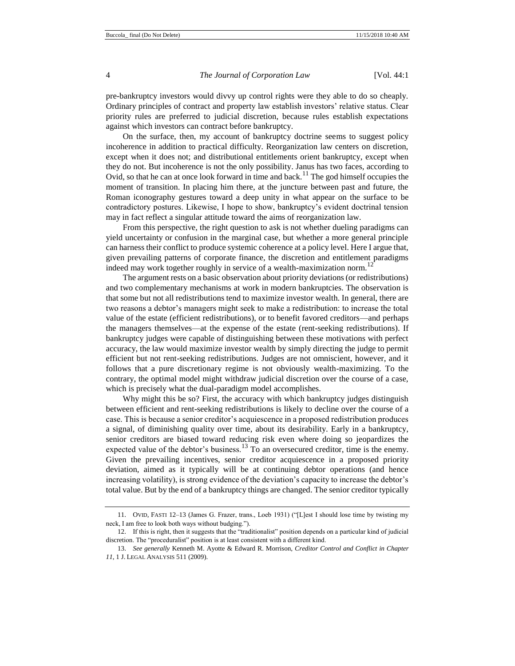pre-bankruptcy investors would divvy up control rights were they able to do so cheaply. Ordinary principles of contract and property law establish investors' relative status. Clear priority rules are preferred to judicial discretion, because rules establish expectations against which investors can contract before bankruptcy.

On the surface, then, my account of bankruptcy doctrine seems to suggest policy incoherence in addition to practical difficulty. Reorganization law centers on discretion, except when it does not; and distributional entitlements orient bankruptcy, except when they do not. But incoherence is not the only possibility. Janus has two faces, according to Ovid, so that he can at once look forward in time and back.<sup>11</sup> The god himself occupies the moment of transition. In placing him there, at the juncture between past and future, the Roman iconography gestures toward a deep unity in what appear on the surface to be contradictory postures. Likewise, I hope to show, bankruptcy's evident doctrinal tension may in fact reflect a singular attitude toward the aims of reorganization law.

From this perspective, the right question to ask is not whether dueling paradigms can yield uncertainty or confusion in the marginal case, but whether a more general principle can harness their conflict to produce systemic coherence at a policy level. Here I argue that, given prevailing patterns of corporate finance, the discretion and entitlement paradigms indeed may work together roughly in service of a wealth-maximization norm.<sup>12</sup>

The argument rests on a basic observation about priority deviations (or redistributions) and two complementary mechanisms at work in modern bankruptcies. The observation is that some but not all redistributions tend to maximize investor wealth. In general, there are two reasons a debtor's managers might seek to make a redistribution: to increase the total value of the estate (efficient redistributions), or to benefit favored creditors—and perhaps the managers themselves—at the expense of the estate (rent-seeking redistributions). If bankruptcy judges were capable of distinguishing between these motivations with perfect accuracy, the law would maximize investor wealth by simply directing the judge to permit efficient but not rent-seeking redistributions. Judges are not omniscient, however, and it follows that a pure discretionary regime is not obviously wealth-maximizing. To the contrary, the optimal model might withdraw judicial discretion over the course of a case, which is precisely what the dual-paradigm model accomplishes.

<span id="page-3-0"></span>Why might this be so? First, the accuracy with which bankruptcy judges distinguish between efficient and rent-seeking redistributions is likely to decline over the course of a case. This is because a senior creditor's acquiescence in a proposed redistribution produces a signal, of diminishing quality over time, about its desirability. Early in a bankruptcy, senior creditors are biased toward reducing risk even where doing so jeopardizes the expected value of the debtor's business.<sup>13</sup> To an oversecured creditor, time is the enemy. Given the prevailing incentives, senior creditor acquiescence in a proposed priority deviation, aimed as it typically will be at continuing debtor operations (and hence increasing volatility), is strong evidence of the deviation's capacity to increase the debtor's total value. But by the end of a bankruptcy things are changed. The senior creditor typically

<sup>11.</sup> OVID, FASTI 12–13 (James G. Frazer, trans., Loeb 1931) ("[L]est I should lose time by twisting my neck, I am free to look both ways without budging.").

<sup>12.</sup> If this is right, then it suggests that the "traditionalist" position depends on a particular kind of judicial discretion. The "proceduralist" position is at least consistent with a different kind.

<sup>13.</sup> *See generally* Kenneth M. Ayotte & Edward R. Morrison, *Creditor Control and Conflict in Chapter 11*, 1 J. LEGAL ANALYSIS 511 (2009).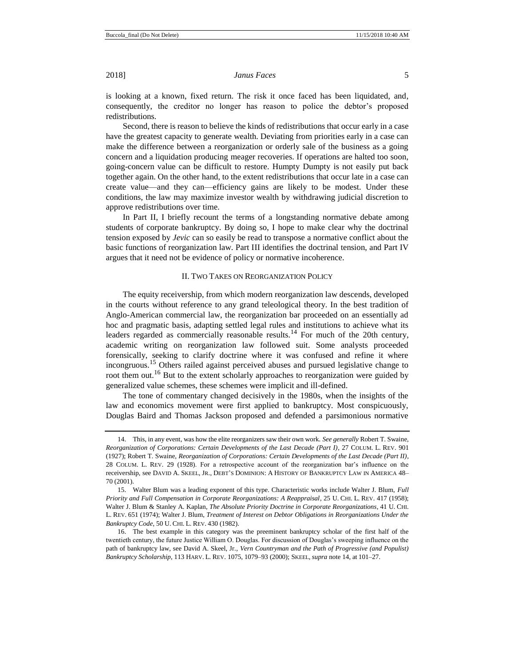is looking at a known, fixed return. The risk it once faced has been liquidated, and, consequently, the creditor no longer has reason to police the debtor's proposed redistributions.

Second, there is reason to believe the kinds of redistributions that occur early in a case have the greatest capacity to generate wealth. Deviating from priorities early in a case can make the difference between a reorganization or orderly sale of the business as a going concern and a liquidation producing meager recoveries. If operations are halted too soon, going-concern value can be difficult to restore. Humpty Dumpty is not easily put back together again. On the other hand, to the extent redistributions that occur late in a case can create value—and they can—efficiency gains are likely to be modest. Under these conditions, the law may maximize investor wealth by withdrawing judicial discretion to approve redistributions over time.

In Part II, I briefly recount the terms of a longstanding normative debate among students of corporate bankruptcy. By doing so, I hope to make clear why the doctrinal tension exposed by *Jevic* can so easily be read to transpose a normative conflict about the basic functions of reorganization law. Part III identifies the doctrinal tension, and Part IV argues that it need not be evidence of policy or normative incoherence.

# <span id="page-4-0"></span>II. TWO TAKES ON REORGANIZATION POLICY

The equity receivership, from which modern reorganization law descends, developed in the courts without reference to any grand teleological theory. In the best tradition of Anglo-American commercial law, the reorganization bar proceeded on an essentially ad hoc and pragmatic basis, adapting settled legal rules and institutions to achieve what its leaders regarded as commercially reasonable results.<sup>14</sup> For much of the 20th century, academic writing on reorganization law followed suit. Some analysts proceeded forensically, seeking to clarify doctrine where it was confused and refine it where incongruous.<sup>15</sup> Others railed against perceived abuses and pursued legislative change to root them out.<sup>16</sup> But to the extent scholarly approaches to reorganization were guided by generalized value schemes, these schemes were implicit and ill-defined.

The tone of commentary changed decisively in the 1980s, when the insights of the law and economics movement were first applied to bankruptcy. Most conspicuously, Douglas Baird and Thomas Jackson proposed and defended a parsimonious normative

<sup>14.</sup> This, in any event, was how the elite reorganizers saw their own work. *See generally* Robert T. Swaine, *Reorganization of Corporations: Certain Developments of the Last Decade (Part I)*, 27 COLUM. L. REV. 901 (1927); Robert T. Swaine, *Reorganization of Corporations: Certain Developments of the Last Decade (Part II)*, 28 COLUM. L. REV. 29 (1928). For a retrospective account of the reorganization bar's influence on the receivership, see DAVID A. SKEEL, JR., DEBT'S DOMINION: A HISTORY OF BANKRUPTCY LAW IN AMERICA 48– 70 (2001).

<sup>15.</sup> Walter Blum was a leading exponent of this type. Characteristic works include Walter J. Blum, *Full Priority and Full Compensation in Corporate Reorganizations: A Reappraisal*, 25 U. CHI. L. REV. 417 (1958); Walter J. Blum & Stanley A. Kaplan, *The Absolute Priority Doctrine in Corporate Reorganizations*, 41 U. CHI. L. REV. 651 (1974); Walter J. Blum, *Treatment of Interest on Debtor Obligations in Reorganizations Under the Bankruptcy Code*, 50 U. CHI. L. REV. 430 (1982).

<sup>16.</sup> The best example in this category was the preeminent bankruptcy scholar of the first half of the twentieth century, the future Justice William O. Douglas. For discussion of Douglas's sweeping influence on the path of bankruptcy law, see David A. Skeel, Jr., *Vern Countryman and the Path of Progressive (and Populist) Bankruptcy Scholarship*, 113 HARV. L. REV. 1075, 1079–93 (2000); SKEEL, *supra* not[e 14,](#page-4-0) at 101–27.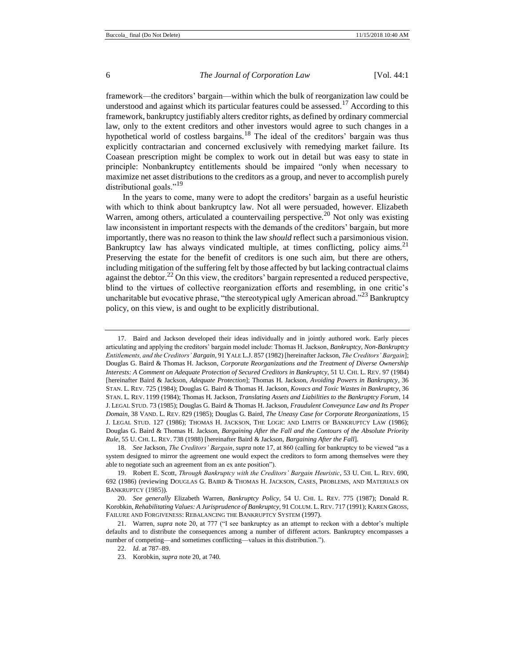<span id="page-5-0"></span>

framework—the creditors' bargain—within which the bulk of reorganization law could be understood and against which its particular features could be assessed.<sup>17</sup> According to this framework, bankruptcy justifiably alters creditor rights, as defined by ordinary commercial law, only to the extent creditors and other investors would agree to such changes in a hypothetical world of costless bargains.<sup>18</sup> The ideal of the creditors' bargain was thus explicitly contractarian and concerned exclusively with remedying market failure. Its Coasean prescription might be complex to work out in detail but was easy to state in principle: Nonbankruptcy entitlements should be impaired "only when necessary to maximize net asset distributions to the creditors as a group, and never to accomplish purely distributional goals."<sup>19</sup>

In the years to come, many were to adopt the creditors' bargain as a useful heuristic with which to think about bankruptcy law. Not all were persuaded, however. Elizabeth Warren, among others, articulated a countervailing perspective.<sup>20</sup> Not only was existing law inconsistent in important respects with the demands of the creditors' bargain, but more importantly, there was no reason to think the law *should* reflect such a parsimonious vision. Bankruptcy law has always vindicated multiple, at times conflicting, policy aims.<sup>21</sup> Preserving the estate for the benefit of creditors is one such aim, but there are others, including mitigation of the suffering felt by those affected by but lacking contractual claims against the debtor.<sup>22</sup> On this view, the creditors' bargain represented a reduced perspective, blind to the virtues of collective reorganization efforts and resembling, in one critic's uncharitable but evocative phrase, "the stereotypical ugly American abroad."<sup>23</sup> Bankruptcy policy, on this view, is and ought to be explicitly distributional.

<sup>17.</sup> Baird and Jackson developed their ideas individually and in jointly authored work. Early pieces articulating and applying the creditors' bargain model include: Thomas H. Jackson, *Bankruptcy, Non-Bankruptcy Entitlements, and the Creditors' Bargain*, 91 YALE L.J. 857 (1982) [hereinafter Jackson, *The Creditors' Bargain*]; Douglas G. Baird & Thomas H. Jackson, *Corporate Reorganizations and the Treatment of Diverse Ownership Interests: A Comment on Adequate Protection of Secured Creditors in Bankruptcy*, 51 U. CHI. L. REV. 97 (1984) [hereinafter Baird & Jackson, *Adequate Protection*]; Thomas H. Jackson, *Avoiding Powers in Bankruptcy*, 36 STAN. L. REV. 725 (1984); Douglas G. Baird & Thomas H. Jackson, *Kovacs and Toxic Wastes in Bankruptcy*, 36 STAN. L. REV. 1199 (1984); Thomas H. Jackson, *Translating Assets and Liabilities to the Bankruptcy Forum*, 14 J. LEGAL STUD. 73 (1985); Douglas G. Baird & Thomas H. Jackson, *Fraudulent Conveyance Law and Its Proper Domain*, 38 VAND. L. REV. 829 (1985); Douglas G. Baird, *The Uneasy Case for Corporate Reorganizations*, 15 J. LEGAL STUD. 127 (1986); THOMAS H. JACKSON, THE LOGIC AND LIMITS OF BANKRUPTCY LAW (1986); Douglas G. Baird & Thomas H. Jackson, *Bargaining After the Fall and the Contours of the Absolute Priority Rule*, 55 U. CHI. L. REV. 738 (1988) [hereinafter Baird & Jackson, *Bargaining After the Fall*].

<sup>18.</sup> *See* Jackson, *The Creditors' Bargain*, *supra* not[e 17,](#page-5-0) at 860 (calling for bankruptcy to be viewed "as a system designed to mirror the agreement one would expect the creditors to form among themselves were they able to negotiate such an agreement from an ex ante position").

<sup>19.</sup> Robert E. Scott, *Through Bankruptcy with the Creditors' Bargain Heuristic*, 53 U. CHI. L. REV. 690, 692 (1986) (reviewing DOUGLAS G. BAIRD & THOMAS H. JACKSON, CASES, PROBLEMS, AND MATERIALS ON BANKRUPTCY (1985)).

<sup>20.</sup> *See generally* Elizabeth Warren, *Bankruptcy Policy*, 54 U. CHI. L. REV. 775 (1987); Donald R. Korobkin, *Rehabilitating Values: A Jurisprudence of Bankruptcy*, 91 COLUM. L. REV. 717 (1991); KAREN GROSS, FAILURE AND FORGIVENESS: REBALANCING THE BANKRUPTCY SYSTEM (1997).

<sup>21.</sup> Warren, *supra* note 20, at 777 ("I see bankruptcy as an attempt to reckon with a debtor's multiple defaults and to distribute the consequences among a number of different actors. Bankruptcy encompasses a number of competing—and sometimes conflicting—values in this distribution.").

<sup>22.</sup> *Id.* at 787–89.

<sup>23.</sup> Korobkin, *supra* note 20, at 740.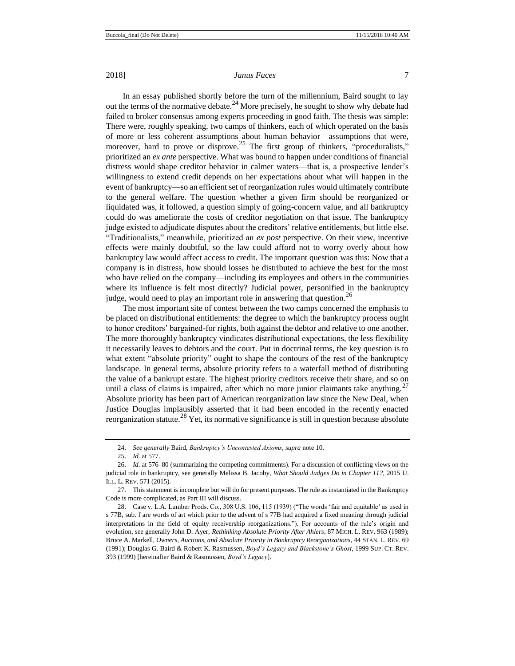In an essay published shortly before the turn of the millennium, Baird sought to lay out the terms of the normative debate.<sup>24</sup> More precisely, he sought to show why debate had failed to broker consensus among experts proceeding in good faith. The thesis was simple: There were, roughly speaking, two camps of thinkers, each of which operated on the basis of more or less coherent assumptions about human behavior—assumptions that were, moreover, hard to prove or disprove.<sup>25</sup> The first group of thinkers, "proceduralists," prioritized an *ex ante* perspective. What was bound to happen under conditions of financial distress would shape creditor behavior in calmer waters—that is, a prospective lender's willingness to extend credit depends on her expectations about what will happen in the event of bankruptcy—so an efficient set of reorganization rules would ultimately contribute to the general welfare. The question whether a given firm should be reorganized or liquidated was, it followed, a question simply of going-concern value, and all bankruptcy could do was ameliorate the costs of creditor negotiation on that issue. The bankruptcy judge existed to adjudicate disputes about the creditors' relative entitlements, but little else. "Traditionalists," meanwhile, prioritized an *ex post* perspective. On their view, incentive effects were mainly doubtful, so the law could afford not to worry overly about how bankruptcy law would affect access to credit. The important question was this: Now that a company is in distress, how should losses be distributed to achieve the best for the most who have relied on the company—including its employees and others in the communities where its influence is felt most directly? Judicial power, personified in the bankruptcy judge, would need to play an important role in answering that question.<sup>26</sup>

The most important site of contest between the two camps concerned the emphasis to be placed on distributional entitlements: the degree to which the bankruptcy process ought to honor creditors' bargained-for rights, both against the debtor and relative to one another. The more thoroughly bankruptcy vindicates distributional expectations, the less flexibility it necessarily leaves to debtors and the court. Put in doctrinal terms, the key question is to what extent "absolute priority" ought to shape the contours of the rest of the bankruptcy landscape. In general terms, absolute priority refers to a waterfall method of distributing the value of a bankrupt estate. The highest priority creditors receive their share, and so on until a class of claims is impaired, after which no more junior claimants take anything.<sup>27</sup> Absolute priority has been part of American reorganization law since the New Deal, when Justice Douglas implausibly asserted that it had been encoded in the recently enacted reorganization statute.<sup>28</sup> Yet, its normative significance is still in question because absolute

<span id="page-6-0"></span><sup>24.</sup> *See generally* Baird, *Bankruptcy's Uncontested Axioms*, *supra* not[e 10.](#page-2-0)

<sup>25.</sup> *Id.* at 577.

<sup>26.</sup> *Id.* at 576–80 (summarizing the competing commitments). For a discussion of conflicting views on the judicial role in bankruptcy, see generally Melissa B. Jacoby, *What Should Judges Do in Chapter 11?*, 2015 U. ILL. L. REV. 571 (2015).

<sup>27.</sup> This statement is incomplete but will do for present purposes. The rule as instantiated in the Bankruptcy Code is more complicated, as Part III will discuss.

<sup>28.</sup> Case v. L.A. Lumber Prods. Co., 308 U.S. 106, 115 (1939) ("The words 'fair and equitable' as used in s 77B, sub. f are words of art which prior to the advent of s 77B had acquired a fixed meaning through judicial interpretations in the field of equity receivership reorganizations."). For accounts of the rule's origin and evolution, see generally John D. Ayer, *Rethinking Absolute Priority After Ahlers*, 87 MICH. L. REV. 963 (1989); Bruce A. Markell, *Owners, Auctions, and Absolute Priority in Bankruptcy Reorganizations*, 44 STAN. L. REV. 69 (1991); Douglas G. Baird & Robert K. Rasmussen, *Boyd's Legacy and Blackstone's Ghost*, 1999 SUP. CT. REV. 393 (1999) [hereinafter Baird & Rasmussen, *Boyd's Legacy*].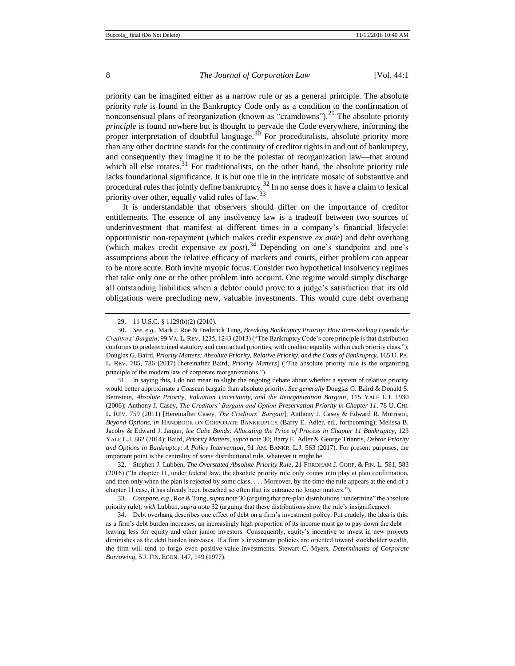<span id="page-7-2"></span><span id="page-7-0"></span>

priority can be imagined either as a narrow rule or as a general principle. The absolute priority *rule* is found in the Bankruptcy Code only as a condition to the confirmation of nonconsensual plans of reorganization (known as "cramdowns").<sup>29</sup> The absolute priority *principle* is found nowhere but is thought to pervade the Code everywhere, informing the proper interpretation of doubtful language.<sup>30</sup> For proceduralists, absolute priority more than any other doctrine stands for the continuity of creditor rights in and out of bankruptcy, and consequently they imagine it to be the polestar of reorganization law—that around which all else rotates.<sup>31</sup> For traditionalists, on the other hand, the absolute priority rule lacks foundational significance. It is but one tile in the intricate mosaic of substantive and procedural rules that jointly define bankruptcy.<sup>32</sup> In no sense does it have a claim to lexical priority over other, equally valid rules of law.<sup>33</sup>

<span id="page-7-3"></span><span id="page-7-1"></span>It is understandable that observers should differ on the importance of creditor entitlements. The essence of any insolvency law is a tradeoff between two sources of underinvestment that manifest at different times in a company's financial lifecycle: opportunistic non-repayment (which makes credit expensive *ex ante*) and debt overhang (which makes credit expensive *ex post*).<sup>34</sup> Depending on one's standpoint and one's assumptions about the relative efficacy of markets and courts, either problem can appear to be more acute. Both invite myopic focus. Consider two hypothetical insolvency regimes that take only one or the other problem into account. One regime would simply discharge all outstanding liabilities when a debtor could prove to a judge's satisfaction that its old obligations were precluding new, valuable investments. This would cure debt overhang

<sup>29.</sup> 11 U.S.C. § 1129(b)(2) (2010).

<sup>30.</sup> *See, e.g.*, Mark J. Roe & Frederick Tung, *Breaking Bankruptcy Priority: How Rent-Seeking Upends the Creditors' Bargain*, 99 VA. L. REV. 1235, 1243 (2013) ("The Bankruptcy Code's core principle is that distribution conforms to predetermined statutory and contractual priorities, with creditor equality within each priority class."); Douglas G. Baird, *Priority Matters: Absolute Priority, Relative Priority, and the Costs of Bankruptcy*, 165 U. PA. L. REV. 785, 786 (2017) [hereinafter Baird, *Priority Matters*] ("The absolute priority rule is the organizing principle of the modern law of corporate reorganizations.").

<sup>31.</sup> In saying this, I do not mean to slight the ongoing debate about whether a system of relative priority would better approximate a Coasean bargain than absolute priority. *See generally* Douglas G. Baird & Donald S. Bernstein, *Absolute Priority, Valuation Uncertainty, and the Reorganization Bargain*, 115 YALE L.J. 1930 (2006); Anthony J. Casey, *The Creditors' Bargain and Option-Preservation Priority in Chapter 11*, 78 U. CHI. L. REV. 759 (2011) [Hereinafter Casey, *The Creditors' Bargain*]; Anthony J. Casey & Edward R. Morrison, *Beyond Options*, *in* HANDBOOK ON CORPORATE BANKRUPTCY (Barry E. Adler, ed., forthcoming); Melissa B. Jacoby & Edward J. Janger, *Ice Cube Bonds: Allocating the Price of Process in Chapter 11 Bankruptcy*, 123 YALE L.J. 862 (2014); Baird, *Priority Matters*, *supra* note 30; Barry E. Adler & George Triantis, *Debtor Priority and Options in Bankruptcy: A Policy Intervention*, 91 AM. BANKR. L.J. 563 (2017). For present purposes, the important point is the centrality of *some* distributional rule, whatever it might be.

<sup>32.</sup> Stephen J. Lubben, *The Overstated Absolute Priority Rule*, 21 FORDHAM J. CORP. & FIN. L. 581, 583 (2016) ("In chapter 11, under federal law, the absolute priority rule only comes into play at plan confirmation, and then only when the plan is rejected by some class. . . . Moreover, by the time the rule appears at the end of a chapter 11 case, it has already been breached so often that its entrance no longer matters.").

<sup>33.</sup> *Compare, e.g.*, Roe & Tung, *supra* not[e 30](#page-7-0) (arguing that pre-plan distributions "undermine" the absolute priority rule), *with* Lubben, *supra* note [32](#page-7-1) (arguing that these distributions show the rule's insignificance).

<sup>34.</sup> Debt overhang describes one effect of debt on a firm's investment policy. Put crudely, the idea is this: as a firm's debt burden increases, an increasingly high proportion of its income must go to pay down the debt leaving less for equity and other junior investors. Consequently, equity's incentive to invest in new projects diminishes as the debt burden increases. If a firm's investment policies are oriented toward stockholder wealth, the firm will tend to forgo even positive-value investments. Stewart C. Myers, *Determinants of Corporate Borrowing*, 5 J. FIN. ECON. 147, 149 (1977).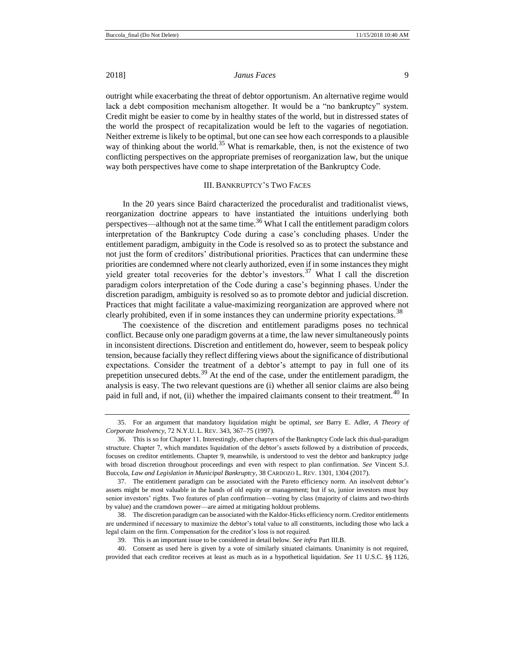outright while exacerbating the threat of debtor opportunism. An alternative regime would lack a debt composition mechanism altogether. It would be a "no bankruptcy" system. Credit might be easier to come by in healthy states of the world, but in distressed states of the world the prospect of recapitalization would be left to the vagaries of negotiation. Neither extreme is likely to be optimal, but one can see how each corresponds to a plausible way of thinking about the world.<sup>35</sup> What is remarkable, then, is not the existence of two conflicting perspectives on the appropriate premises of reorganization law, but the unique way both perspectives have come to shape interpretation of the Bankruptcy Code.

# III. BANKRUPTCY'S TWO FACES

In the 20 years since Baird characterized the proceduralist and traditionalist views, reorganization doctrine appears to have instantiated the intuitions underlying both perspectives—although not at the same time.<sup>36</sup> What I call the entitlement paradigm colors interpretation of the Bankruptcy Code during a case's concluding phases. Under the entitlement paradigm, ambiguity in the Code is resolved so as to protect the substance and not just the form of creditors' distributional priorities. Practices that can undermine these priorities are condemned where not clearly authorized, even if in some instances they might yield greater total recoveries for the debtor's investors.<sup>37</sup> What I call the discretion paradigm colors interpretation of the Code during a case's beginning phases. Under the discretion paradigm, ambiguity is resolved so as to promote debtor and judicial discretion. Practices that might facilitate a value-maximizing reorganization are approved where not clearly prohibited, even if in some instances they can undermine priority expectations.<sup>38</sup>

The coexistence of the discretion and entitlement paradigms poses no technical conflict. Because only one paradigm governs at a time, the law never simultaneously points in inconsistent directions. Discretion and entitlement do, however, seem to bespeak policy tension, because facially they reflect differing views about the significance of distributional expectations. Consider the treatment of a debtor's attempt to pay in full one of its prepetition unsecured debts. $39$  At the end of the case, under the entitlement paradigm, the analysis is easy. The two relevant questions are (i) whether all senior claims are also being paid in full and, if not, (ii) whether the impaired claimants consent to their treatment.<sup>40</sup> In

<sup>35.</sup> For an argument that mandatory liquidation might be optimal, *see* Barry E. Adler, *A Theory of Corporate Insolvency*, 72 N.Y.U. L. REV. 343, 367–75 (1997).

<sup>36.</sup> This is so for Chapter 11. Interestingly, other chapters of the Bankruptcy Code lack this dual-paradigm structure. Chapter 7, which mandates liquidation of the debtor's assets followed by a distribution of proceeds, focuses on creditor entitlements. Chapter 9, meanwhile, is understood to vest the debtor and bankruptcy judge with broad discretion throughout proceedings and even with respect to plan confirmation. *See* Vincent S.J. Buccola, *Law and Legislation in Municipal Bankruptcy*, 38 CARDOZO L. REV. 1301, 1304 (2017).

<sup>37.</sup> The entitlement paradigm can be associated with the Pareto efficiency norm. An insolvent debtor's assets might be most valuable in the hands of old equity or management; but if so, junior investors must buy senior investors' rights. Two features of plan confirmation—voting by class (majority of claims and two-thirds by value) and the cramdown power—are aimed at mitigating holdout problems.

<sup>38.</sup> The discretion paradigm can be associated with the Kaldor-Hicks efficiency norm. Creditor entitlements are undermined if necessary to maximize the debtor's total value to all constituents, including those who lack a legal claim on the firm. Compensation for the creditor's loss is not required.

<sup>39.</sup> This is an important issue to be considered in detail below. *See infra* Part III.B.

<sup>40.</sup> Consent as used here is given by a vote of similarly situated claimants. Unanimity is not required, provided that each creditor receives at least as much as in a hypothetical liquidation. *See* 11 U.S.C. §§ 1126,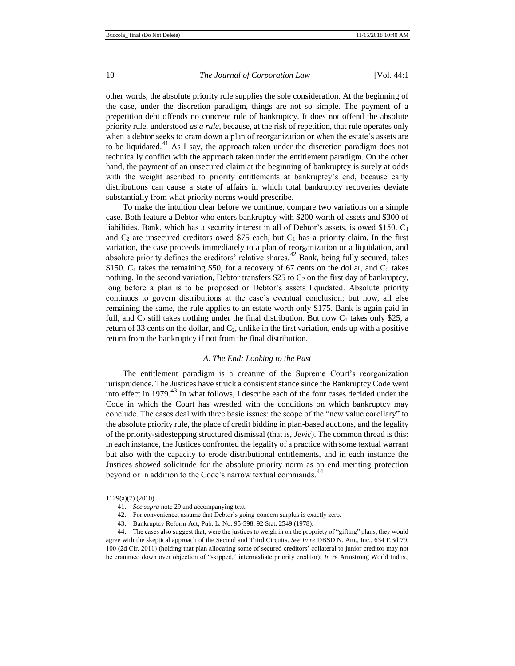other words, the absolute priority rule supplies the sole consideration. At the beginning of the case, under the discretion paradigm, things are not so simple. The payment of a prepetition debt offends no concrete rule of bankruptcy. It does not offend the absolute priority rule, understood *as a rule*, because, at the risk of repetition, that rule operates only when a debtor seeks to cram down a plan of reorganization or when the estate's assets are to be liquidated.<sup>41</sup> As I say, the approach taken under the discretion paradigm does not technically conflict with the approach taken under the entitlement paradigm. On the other hand, the payment of an unsecured claim at the beginning of bankruptcy is surely at odds with the weight ascribed to priority entitlements at bankruptcy's end, because early distributions can cause a state of affairs in which total bankruptcy recoveries deviate substantially from what priority norms would prescribe.

To make the intuition clear before we continue, compare two variations on a simple case. Both feature a Debtor who enters bankruptcy with \$200 worth of assets and \$300 of liabilities. Bank, which has a security interest in all of Debtor's assets, is owed \$150.  $C_1$ and  $C_2$  are unsecured creditors owed \$75 each, but  $C_1$  has a priority claim. In the first variation, the case proceeds immediately to a plan of reorganization or a liquidation, and absolute priority defines the creditors' relative shares.<sup>42</sup> Bank, being fully secured, takes \$150.  $C_1$  takes the remaining \$50, for a recovery of 67 cents on the dollar, and  $C_2$  takes nothing. In the second variation, Debtor transfers \$25 to  $C_2$  on the first day of bankruptcy, long before a plan is to be proposed or Debtor's assets liquidated. Absolute priority continues to govern distributions at the case's eventual conclusion; but now, all else remaining the same, the rule applies to an estate worth only \$175. Bank is again paid in full, and  $C_2$  still takes nothing under the final distribution. But now  $C_1$  takes only \$25, a return of 33 cents on the dollar, and  $C_2$ , unlike in the first variation, ends up with a positive return from the bankruptcy if not from the final distribution.

#### *A. The End: Looking to the Past*

The entitlement paradigm is a creature of the Supreme Court's reorganization jurisprudence. The Justices have struck a consistent stance since the Bankruptcy Code went into effect in 1979. $^{43}$  In what follows, I describe each of the four cases decided under the Code in which the Court has wrestled with the conditions on which bankruptcy may conclude. The cases deal with three basic issues: the scope of the "new value corollary" to the absolute priority rule, the place of credit bidding in plan-based auctions, and the legality of the priority-sidestepping structured dismissal (that is, *Jevic*). The common thread is this: in each instance, the Justices confronted the legality of a practice with some textual warrant but also with the capacity to erode distributional entitlements, and in each instance the Justices showed solicitude for the absolute priority norm as an end meriting protection beyond or in addition to the Code's narrow textual commands.<sup>44</sup>

<sup>1129(</sup>a)(7) (2010).

<sup>41.</sup> *See supra* not[e 29](#page-7-2) and accompanying text.

<sup>42.</sup> For convenience, assume that Debtor's going-concern surplus is exactly zero.

<sup>43.</sup> Bankruptcy Reform Act, Pub. L. No. 95-598, 92 Stat. 2549 (1978).

<sup>44.</sup> The cases also suggest that, were the justices to weigh in on the propriety of "gifting" plans, they would agree with the skeptical approach of the Second and Third Circuits. *See In re* DBSD N. Am., Inc., 634 F.3d 79, 100 (2d Cir. 2011) (holding that plan allocating some of secured creditors' collateral to junior creditor may not be crammed down over objection of "skipped," intermediate priority creditor); *In re* Armstrong World Indus.,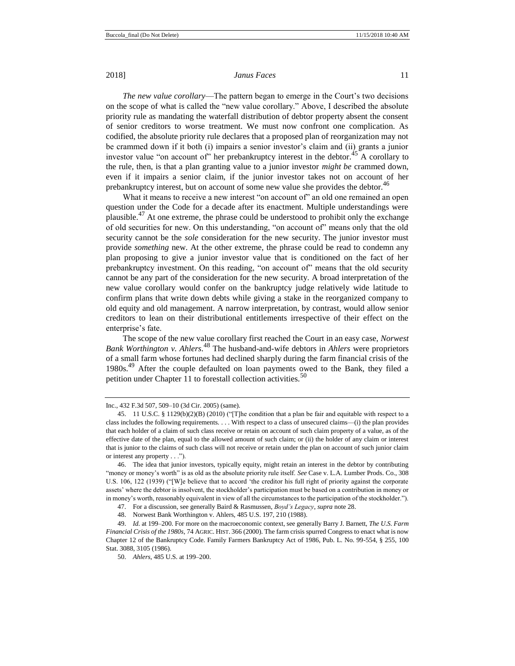*The new value corollary*—The pattern began to emerge in the Court's two decisions on the scope of what is called the "new value corollary." Above, I described the absolute priority rule as mandating the waterfall distribution of debtor property absent the consent of senior creditors to worse treatment. We must now confront one complication. As codified, the absolute priority rule declares that a proposed plan of reorganization may not be crammed down if it both (i) impairs a senior investor's claim and (ii) grants a junior investor value "on account of" her prebankruptcy interest in the debtor.<sup>45</sup> A corollary to the rule, then, is that a plan granting value to a junior investor *might be* crammed down, even if it impairs a senior claim, if the junior investor takes not on account of her prebankruptcy interest, but on account of some new value she provides the debtor.<sup>46</sup>

What it means to receive a new interest "on account of" an old one remained an open question under the Code for a decade after its enactment. Multiple understandings were plausible.<sup>47</sup> At one extreme, the phrase could be understood to prohibit only the exchange of old securities for new. On this understanding, "on account of" means only that the old security cannot be the *sole* consideration for the new security. The junior investor must provide *something* new. At the other extreme, the phrase could be read to condemn any plan proposing to give a junior investor value that is conditioned on the fact of her prebankruptcy investment. On this reading, "on account of" means that the old security cannot be any part of the consideration for the new security. A broad interpretation of the new value corollary would confer on the bankruptcy judge relatively wide latitude to confirm plans that write down debts while giving a stake in the reorganized company to old equity and old management. A narrow interpretation, by contrast, would allow senior creditors to lean on their distributional entitlements irrespective of their effect on the enterprise's fate.

The scope of the new value corollary first reached the Court in an easy case, *Norwest Bank Worthington v. Ahlers*. <sup>48</sup> The husband-and-wife debtors in *Ahlers* were proprietors of a small farm whose fortunes had declined sharply during the farm financial crisis of the 1980s.<sup>49</sup> After the couple defaulted on loan payments owed to the Bank, they filed a petition under Chapter 11 to forestall collection activities.<sup>50</sup>

Inc., 432 F.3d 507, 509–10 (3d Cir. 2005) (same).

<sup>45.</sup> 11 U.S.C. § 1129(b)(2)(B) (2010) ("[T]he condition that a plan be fair and equitable with respect to a class includes the following requirements. . . . With respect to a class of unsecured claims—(i) the plan provides that each holder of a claim of such class receive or retain on account of such claim property of a value, as of the effective date of the plan, equal to the allowed amount of such claim; or (ii) the holder of any claim or interest that is junior to the claims of such class will not receive or retain under the plan on account of such junior claim or interest any property . . .").

<sup>46.</sup> The idea that junior investors, typically equity, might retain an interest in the debtor by contributing "money or money's worth" is as old as the absolute priority rule itself. *See* Case v. L.A. Lumber Prods. Co., 308 U.S. 106, 122 (1939) ("[W]e believe that to accord 'the creditor his full right of priority against the corporate assets' where the debtor is insolvent, the stockholder's participation must be based on a contribution in money or in money's worth, reasonably equivalent in view of all the circumstances to the participation of the stockholder.").

<sup>47.</sup> For a discussion, see generally Baird & Rasmussen, *Boyd's Legacy*, *supra* not[e 28.](#page-6-0)

<sup>48.</sup> Norwest Bank Worthington v. Ahlers, 485 U.S. 197, 210 (1988).

<sup>49.</sup> *Id.* at 199–200. For more on the macroeconomic context, see generally Barry J. Barnett, *The U.S. Farm Financial Crisis of the 1980s*, 74 AGRIC. HIST. 366 (2000). The farm crisis spurred Congress to enact what is now Chapter 12 of the Bankruptcy Code. Family Farmers Bankruptcy Act of 1986, Pub. L. No. 99-554, § 255, 100 Stat. 3088, 3105 (1986).

<sup>50.</sup> *Ahlers*, 485 U.S. at 199–200.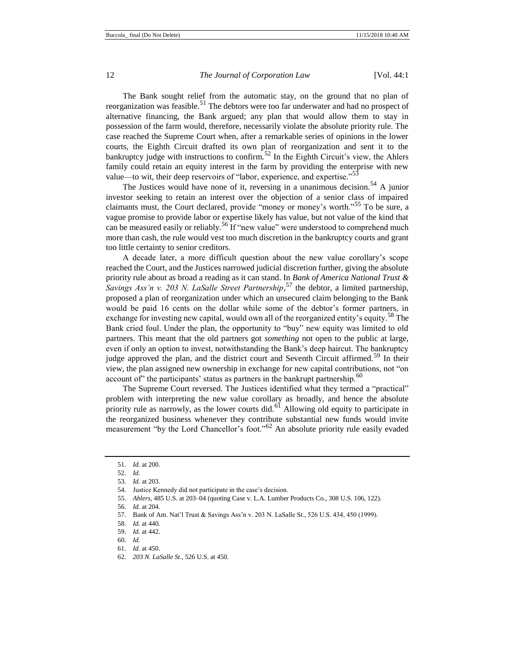The Bank sought relief from the automatic stay, on the ground that no plan of reorganization was feasible.<sup>51</sup> The debtors were too far underwater and had no prospect of alternative financing, the Bank argued; any plan that would allow them to stay in possession of the farm would, therefore, necessarily violate the absolute priority rule. The case reached the Supreme Court when, after a remarkable series of opinions in the lower courts, the Eighth Circuit drafted its own plan of reorganization and sent it to the bankruptcy judge with instructions to confirm.<sup>52</sup> In the Eighth Circuit's view, the Ahlers family could retain an equity interest in the farm by providing the enterprise with new value—to wit, their deep reservoirs of "labor, experience, and expertise."<sup>53</sup>

The Justices would have none of it, reversing in a unanimous decision.<sup>54</sup> A junior investor seeking to retain an interest over the objection of a senior class of impaired claimants must, the Court declared, provide "money or money's worth."<sup>55</sup> To be sure, a vague promise to provide labor or expertise likely has value, but not value of the kind that can be measured easily or reliably.<sup>56</sup> If "new value" were understood to comprehend much more than cash, the rule would vest too much discretion in the bankruptcy courts and grant too little certainty to senior creditors.

A decade later, a more difficult question about the new value corollary's scope reached the Court, and the Justices narrowed judicial discretion further, giving the absolute priority rule about as broad a reading as it can stand. In *Bank of America National Trust & Savings Ass'n v. 203 N. LaSalle Street Partnership*, <sup>57</sup> the debtor, a limited partnership, proposed a plan of reorganization under which an unsecured claim belonging to the Bank would be paid 16 cents on the dollar while some of the debtor's former partners, in exchange for investing new capital, would own all of the reorganized entity's equity.<sup>58</sup> The Bank cried foul. Under the plan, the opportunity to "buy" new equity was limited to old partners. This meant that the old partners got *something* not open to the public at large, even if only an option to invest, notwithstanding the Bank's deep haircut. The bankruptcy judge approved the plan, and the district court and Seventh Circuit affirmed.<sup>59</sup> In their view, the plan assigned new ownership in exchange for new capital contributions, not "on account of" the participants' status as partners in the bankrupt partnership.<sup>60</sup>

The Supreme Court reversed. The Justices identified what they termed a "practical" problem with interpreting the new value corollary as broadly, and hence the absolute priority rule as narrowly, as the lower courts did.<sup>61</sup> Allowing old equity to participate in the reorganized business whenever they contribute substantial new funds would invite measurement "by the Lord Chancellor's foot."<sup>62</sup> An absolute priority rule easily evaded

<sup>51.</sup> *Id.* at 200.

<sup>52.</sup> *Id.*

<sup>53.</sup> *Id.* at 203.

<sup>54.</sup> Justice Kennedy did not participate in the case's decision.

<sup>55.</sup> *Ahlers*, 485 U.S. at 203–04 (quoting Case v. L.A. Lumber Products Co., 308 U.S. 106, 122).

<sup>56.</sup> *Id.* at 204.

<sup>57.</sup> Bank of Am. Nat'l Trust & Savings Ass'n v. 203 N. LaSalle St., 526 U.S. 434, 450 (1999).

<sup>58.</sup> *Id.* at 440.

<sup>59.</sup> *Id.* at 442. 60. *Id.*

<sup>61.</sup> *Id.* at 450.

<sup>62.</sup> *203 N. LaSalle St.*, 526 U.S. at 450.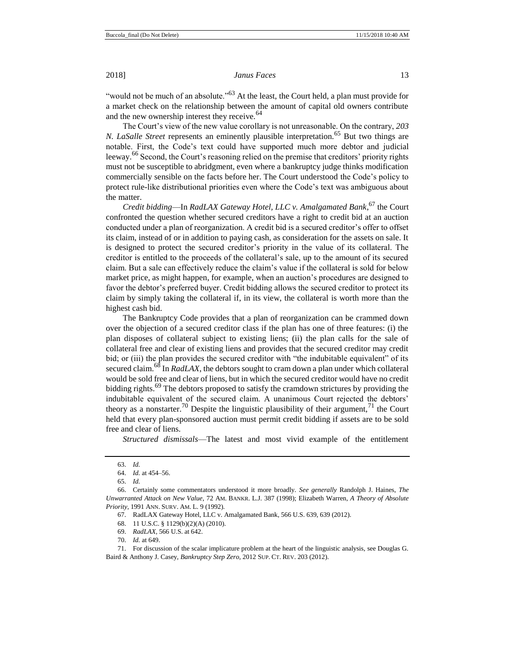"would not be much of an absolute."<sup>63</sup> At the least, the Court held, a plan must provide for a market check on the relationship between the amount of capital old owners contribute and the new ownership interest they receive.<sup>64</sup>

The Court's view of the new value corollary is not unreasonable. On the contrary, *203 N. LaSalle Street* represents an eminently plausible interpretation.<sup>65</sup> But two things are notable. First, the Code's text could have supported much more debtor and judicial leeway.<sup>66</sup> Second, the Court's reasoning relied on the premise that creditors' priority rights must not be susceptible to abridgment, even where a bankruptcy judge thinks modification commercially sensible on the facts before her. The Court understood the Code's policy to protect rule-like distributional priorities even where the Code's text was ambiguous about the matter.

*Credit bidding*—In *RadLAX Gateway Hotel, LLC v. Amalgamated Bank*, <sup>67</sup> the Court confronted the question whether secured creditors have a right to credit bid at an auction conducted under a plan of reorganization. A credit bid is a secured creditor's offer to offset its claim, instead of or in addition to paying cash, as consideration for the assets on sale. It is designed to protect the secured creditor's priority in the value of its collateral. The creditor is entitled to the proceeds of the collateral's sale, up to the amount of its secured claim. But a sale can effectively reduce the claim's value if the collateral is sold for below market price, as might happen, for example, when an auction's procedures are designed to favor the debtor's preferred buyer. Credit bidding allows the secured creditor to protect its claim by simply taking the collateral if, in its view, the collateral is worth more than the highest cash bid.

The Bankruptcy Code provides that a plan of reorganization can be crammed down over the objection of a secured creditor class if the plan has one of three features: (i) the plan disposes of collateral subject to existing liens; (ii) the plan calls for the sale of collateral free and clear of existing liens and provides that the secured creditor may credit bid; or (iii) the plan provides the secured creditor with "the indubitable equivalent" of its secured claim.<sup>68</sup> In *RadLAX*, the debtors sought to cram down a plan under which collateral would be sold free and clear of liens, but in which the secured creditor would have no credit bidding rights.<sup>69</sup> The debtors proposed to satisfy the cramdown strictures by providing the indubitable equivalent of the secured claim. A unanimous Court rejected the debtors' theory as a nonstarter.<sup>70</sup> Despite the linguistic plausibility of their argument,<sup>71</sup> the Court held that every plan-sponsored auction must permit credit bidding if assets are to be sold free and clear of liens.

*Structured dismissals*—The latest and most vivid example of the entitlement

68. 11 U.S.C. § 1129(b)(2)(A) (2010).

69. *RadLAX*, 566 U.S. at 642.

<sup>63.</sup> *Id.*

<sup>64.</sup> *Id.* at 454–56.

<sup>65.</sup> *Id.*

<sup>66.</sup> Certainly some commentators understood it more broadly. *See generally* Randolph J. Haines, *The Unwarranted Attack on New Value*, 72 AM. BANKR. L.J. 387 (1998); Elizabeth Warren, *A Theory of Absolute Priority*, 1991 ANN. SURV. AM. L. 9 (1992).

<sup>67.</sup> RadLAX Gateway Hotel, LLC v. Amalgamated Bank, 566 U.S. 639, 639 (2012).

<sup>70.</sup> *Id.* at 649.

<sup>71.</sup> For discussion of the scalar implicature problem at the heart of the linguistic analysis, see Douglas G. Baird & Anthony J. Casey, *Bankruptcy Step Zero*, 2012 SUP. CT. REV. 203 (2012).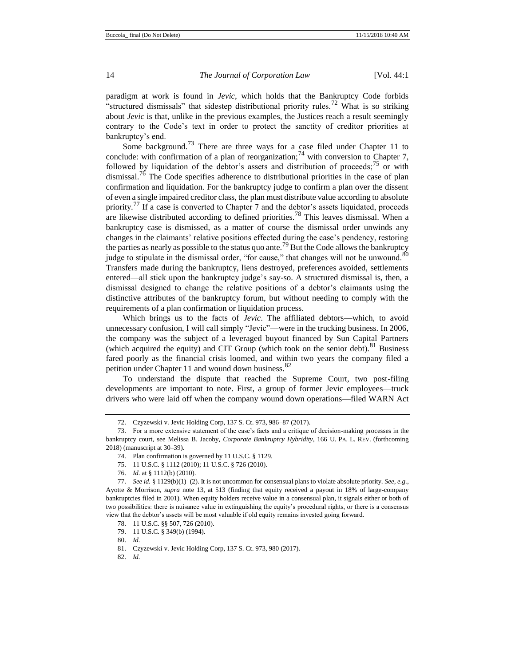<span id="page-13-0"></span>

paradigm at work is found in *Jevic*, which holds that the Bankruptcy Code forbids "structured dismissals" that sidestep distributional priority rules.<sup>72</sup> What is so striking about *Jevic* is that, unlike in the previous examples, the Justices reach a result seemingly contrary to the Code's text in order to protect the sanctity of creditor priorities at bankruptcy's end.

Some background.<sup>73</sup> There are three ways for a case filed under Chapter 11 to conclude: with confirmation of a plan of reorganization;<sup>74</sup> with conversion to Chapter 7, followed by liquidation of the debtor's assets and distribution of proceeds;  $^{75}$  or with dismissal.<sup>76</sup> The Code specifies adherence to distributional priorities in the case of plan confirmation and liquidation. For the bankruptcy judge to confirm a plan over the dissent of even a single impaired creditor class, the plan must distribute value according to absolute priority.<sup> $77$ </sup> If a case is converted to Chapter 7 and the debtor's assets liquidated, proceeds are likewise distributed according to defined priorities.<sup>78</sup> This leaves dismissal. When a bankruptcy case is dismissed, as a matter of course the dismissal order unwinds any changes in the claimants' relative positions effected during the case's pendency, restoring the parties as nearly as possible to the status quo ante.<sup>79</sup> But the Code allows the bankruptcy judge to stipulate in the dismissal order, "for cause," that changes will not be unwound.  $80$ Transfers made during the bankruptcy, liens destroyed, preferences avoided, settlements entered—all stick upon the bankruptcy judge's say-so. A structured dismissal is, then, a dismissal designed to change the relative positions of a debtor's claimants using the distinctive attributes of the bankruptcy forum, but without needing to comply with the requirements of a plan confirmation or liquidation process.

<span id="page-13-1"></span>Which brings us to the facts of *Jevic*. The affiliated debtors—which, to avoid unnecessary confusion, I will call simply "Jevic"—were in the trucking business. In 2006, the company was the subject of a leveraged buyout financed by Sun Capital Partners (which acquired the equity) and CIT Group (which took on the senior debt).<sup>81</sup> Business fared poorly as the financial crisis loomed, and within two years the company filed a petition under Chapter 11 and wound down business.<sup>82</sup>

To understand the dispute that reached the Supreme Court, two post-filing developments are important to note. First, a group of former Jevic employees—truck drivers who were laid off when the company wound down operations—filed WARN Act

<sup>72.</sup> Czyzewski v. Jevic Holding Corp, 137 S. Ct. 973, 986–87 (2017).

<sup>73.</sup> For a more extensive statement of the case's facts and a critique of decision-making processes in the bankruptcy court, see Melissa B. Jacoby, *Corporate Bankruptcy Hybridity*, 166 U. PA. L. REV. (forthcoming 2018) (manuscript at 30–39).

<sup>74.</sup> Plan confirmation is governed by 11 U.S.C. § 1129.

<sup>75.</sup> 11 U.S.C. § 1112 (2010); 11 U.S.C. § 726 (2010).

<sup>76.</sup> *Id.* at § 1112(b) (2010).

<sup>77.</sup> *See id.* § 1129(b)(1)–(2). It is not uncommon for consensual plans to violate absolute priority. *See, e.g.*, Ayotte & Morrison, *supra* note [13,](#page-3-0) at 513 (finding that equity received a payout in 18% of large-company bankruptcies filed in 2001). When equity holders receive value in a consensual plan, it signals either or both of two possibilities: there is nuisance value in extinguishing the equity's procedural rights, or there is a consensus view that the debtor's assets will be most valuable if old equity remains invested going forward.

<sup>78.</sup> 11 U.S.C. §§ 507, 726 (2010).

<sup>79.</sup> 11 U.S.C. § 349(b) (1994).

<sup>80.</sup> *Id.*

<sup>81.</sup> Czyzewski v. Jevic Holding Corp, 137 S. Ct. 973, 980 (2017).

<sup>82.</sup> *Id.*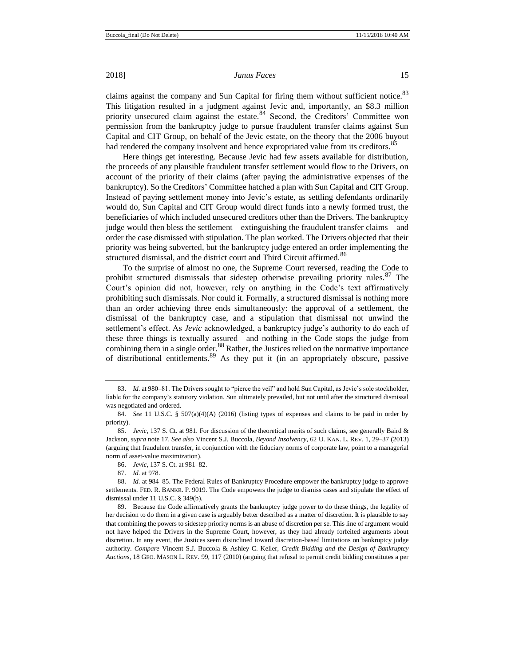claims against the company and Sun Capital for firing them without sufficient notice.<sup>83</sup> This litigation resulted in a judgment against Jevic and, importantly, an \$8.3 million priority unsecured claim against the estate.<sup>84</sup> Second, the Creditors' Committee won permission from the bankruptcy judge to pursue fraudulent transfer claims against Sun Capital and CIT Group, on behalf of the Jevic estate, on the theory that the 2006 buyout had rendered the company insolvent and hence expropriated value from its creditors.<sup>85</sup>

Here things get interesting. Because Jevic had few assets available for distribution, the proceeds of any plausible fraudulent transfer settlement would flow to the Drivers, on account of the priority of their claims (after paying the administrative expenses of the bankruptcy). So the Creditors' Committee hatched a plan with Sun Capital and CIT Group. Instead of paying settlement money into Jevic's estate, as settling defendants ordinarily would do, Sun Capital and CIT Group would direct funds into a newly formed trust, the beneficiaries of which included unsecured creditors other than the Drivers. The bankruptcy judge would then bless the settlement—extinguishing the fraudulent transfer claims—and order the case dismissed with stipulation. The plan worked. The Drivers objected that their priority was being subverted, but the bankruptcy judge entered an order implementing the structured dismissal, and the district court and Third Circuit affirmed.<sup>86</sup>

To the surprise of almost no one, the Supreme Court reversed, reading the Code to prohibit structured dismissals that sidestep otherwise prevailing priority rules. $87$  The Court's opinion did not, however, rely on anything in the Code's text affirmatively prohibiting such dismissals. Nor could it. Formally, a structured dismissal is nothing more than an order achieving three ends simultaneously: the approval of a settlement, the dismissal of the bankruptcy case, and a stipulation that dismissal not unwind the settlement's effect. As *Jevic* acknowledged, a bankruptcy judge's authority to do each of these three things is textually assured—and nothing in the Code stops the judge from combining them in a single order.<sup>88</sup> Rather, the Justices relied on the normative importance of distributional entitlements.<sup>89</sup> As they put it (in an appropriately obscure, passive

<sup>83.</sup> *Id.* at 980–81. The Drivers sought to "pierce the veil" and hold Sun Capital, as Jevic's sole stockholder, liable for the company's statutory violation. Sun ultimately prevailed, but not until after the structured dismissal was negotiated and ordered.

<sup>84.</sup> *See* 11 U.S.C. § 507(a)(4)(A) (2016) (listing types of expenses and claims to be paid in order by priority).

<sup>85.</sup> *Jevic*, 137 S. Ct. at 981. For discussion of the theoretical merits of such claims, see generally Baird & Jackson, *supra* note 17. *See also* Vincent S.J. Buccola, *Beyond Insolvency*, 62 U. KAN. L. REV. 1, 29–37 (2013) (arguing that fraudulent transfer, in conjunction with the fiduciary norms of corporate law, point to a managerial norm of asset-value maximization).

<sup>86.</sup> *Jevic*, 137 S. Ct. at 981–82.

<sup>87.</sup> *Id.* at 978.

<sup>88.</sup> *Id.* at 984–85. The Federal Rules of Bankruptcy Procedure empower the bankruptcy judge to approve settlements. FED. R. BANKR. P. 9019. The Code empowers the judge to dismiss cases and stipulate the effect of dismissal under 11 U.S.C. § 349(b).

<sup>89.</sup> Because the Code affirmatively grants the bankruptcy judge power to do these things, the legality of her decision to do them in a given case is arguably better described as a matter of discretion. It is plausible to say that combining the powers to sidestep priority norms is an abuse of discretion per se. This line of argument would not have helped the Drivers in the Supreme Court, however, as they had already forfeited arguments about discretion. In any event, the Justices seem disinclined toward discretion-based limitations on bankruptcy judge authority. *Compare* Vincent S.J. Buccola & Ashley C. Keller, *Credit Bidding and the Design of Bankruptcy Auctions*, 18 GEO. MASON L. REV. 99, 117 (2010) (arguing that refusal to permit credit bidding constitutes a per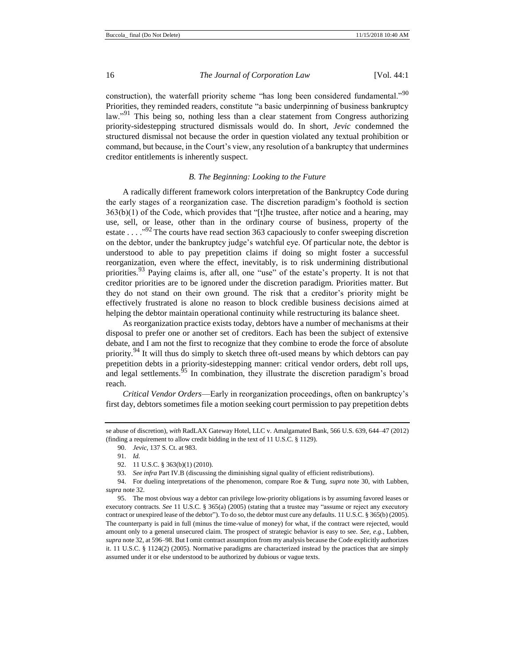construction), the waterfall priority scheme "has long been considered fundamental."<sup>90</sup> Priorities, they reminded readers, constitute "a basic underpinning of business bankruptcy law."<sup>91</sup> This being so, nothing less than a clear statement from Congress authorizing priority-sidestepping structured dismissals would do. In short, *Jevic* condemned the structured dismissal not because the order in question violated any textual prohibition or command, but because, in the Court's view, any resolution of a bankruptcy that undermines creditor entitlements is inherently suspect.

#### *B. The Beginning: Looking to the Future*

A radically different framework colors interpretation of the Bankruptcy Code during the early stages of a reorganization case. The discretion paradigm's foothold is section 363(b)(1) of the Code, which provides that "[t]he trustee, after notice and a hearing, may use, sell, or lease, other than in the ordinary course of business, property of the estate . . . .<sup>992</sup> The courts have read section 363 capaciously to confer sweeping discretion on the debtor, under the bankruptcy judge's watchful eye. Of particular note, the debtor is understood to able to pay prepetition claims if doing so might foster a successful reorganization, even where the effect, inevitably, is to risk undermining distributional priorities.<sup>93</sup> Paying claims is, after all, one "use" of the estate's property. It is not that creditor priorities are to be ignored under the discretion paradigm. Priorities matter. But they do not stand on their own ground. The risk that a creditor's priority might be effectively frustrated is alone no reason to block credible business decisions aimed at helping the debtor maintain operational continuity while restructuring its balance sheet.

As reorganization practice exists today, debtors have a number of mechanisms at their disposal to prefer one or another set of creditors. Each has been the subject of extensive debate, and I am not the first to recognize that they combine to erode the force of absolute priority.<sup>94</sup> It will thus do simply to sketch three oft-used means by which debtors can pay prepetition debts in a priority-sidestepping manner: critical vendor orders, debt roll ups, and legal settlements. $^{95}$  In combination, they illustrate the discretion paradigm's broad reach.

*Critical Vendor Orders*—Early in reorganization proceedings, often on bankruptcy's first day, debtors sometimes file a motion seeking court permission to pay prepetition debts

se abuse of discretion), *with* RadLAX Gateway Hotel, LLC v. Amalgamated Bank, 566 U.S. 639, 644–47 (2012) (finding a requirement to allow credit bidding in the text of 11 U.S.C. § 1129).

<sup>90.</sup> *Jevic*, 137 S. Ct. at 983.

<sup>91.</sup> *Id.*

<sup>92.</sup> 11 U.S.C. § 363(b)(1) (2010).

<sup>93.</sup> *See infra* Part IV.B (discussing the diminishing signal quality of efficient redistributions).

<sup>94.</sup> For dueling interpretations of the phenomenon, compare Roe & Tung, *supra* note [30,](#page-7-0) with Lubben, *supra* not[e 32.](#page-7-1)

<sup>95.</sup> The most obvious way a debtor can privilege low-priority obligations is by assuming favored leases or executory contracts. See 11 U.S.C. § 365(a) (2005) (stating that a trustee may "assume or reject any executory contract or unexpired lease of the debtor"). To do so, the debtor must cure any defaults. 11 U.S.C. § 365(b) (2005). The counterparty is paid in full (minus the time-value of money) for what, if the contract were rejected, would amount only to a general unsecured claim. The prospect of strategic behavior is easy to see. *See, e.g.*, Lubben, *supra* not[e 32,](#page-7-1) at 596–98. But I omit contract assumption from my analysis because the Code explicitly authorizes it. 11 U.S.C. § 1124(2) (2005). Normative paradigms are characterized instead by the practices that are simply assumed under it or else understood to be authorized by dubious or vague texts.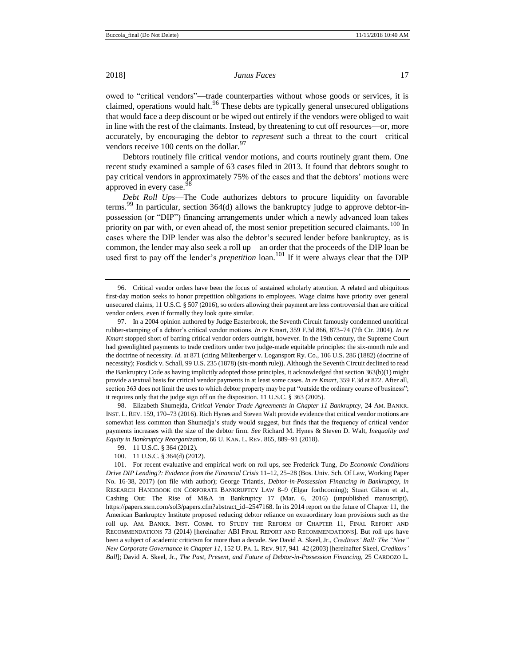owed to "critical vendors"—trade counterparties without whose goods or services, it is claimed, operations would halt.<sup>96</sup> These debts are typically general unsecured obligations that would face a deep discount or be wiped out entirely if the vendors were obliged to wait in line with the rest of the claimants. Instead, by threatening to cut off resources—or, more accurately, by encouraging the debtor to *represent* such a threat to the court—critical vendors receive 100 cents on the dollar.<sup>97</sup>

Debtors routinely file critical vendor motions, and courts routinely grant them. One recent study examined a sample of 63 cases filed in 2013. It found that debtors sought to pay critical vendors in approximately 75% of the cases and that the debtors' motions were approved in every case.<sup>5</sup>

<span id="page-16-0"></span>*Debt Roll Ups*—The Code authorizes debtors to procure liquidity on favorable terms.<sup>99</sup> In particular, section 364(d) allows the bankruptcy judge to approve debtor-inpossession (or "DIP") financing arrangements under which a newly advanced loan takes priority on par with, or even ahead of, the most senior prepetition secured claimants.<sup>100</sup> In cases where the DIP lender was also the debtor's secured lender before bankruptcy, as is common, the lender may also seek a roll up—an order that the proceeds of the DIP loan be used first to pay off the lender's *prepetition* loan.<sup>101</sup> If it were always clear that the DIP

98. Elizabeth Shumejda, *Critical Vendor Trade Agreements in Chapter 11 Bankruptcy*, 24 AM. BANKR. INST. L. REV. 159, 170–73 (2016). Rich Hynes and Steven Walt provide evidence that critical vendor motions are somewhat less common than Shumedja's study would suggest, but finds that the frequency of critical vendor payments increases with the size of the debtor firm. *See* Richard M. Hynes & Steven D. Walt, *Inequality and Equity in Bankruptcy Reorganization*, 66 U. KAN. L. REV. 865, 889–91 (2018).

<span id="page-16-1"></span><sup>96.</sup> Critical vendor orders have been the focus of sustained scholarly attention. A related and ubiquitous first-day motion seeks to honor prepetition obligations to employees. Wage claims have priority over general unsecured claims, 11 U.S.C. § 507 (2016), so orders allowing their payment are less controversial than are critical vendor orders, even if formally they look quite similar.

<sup>97.</sup> In a 2004 opinion authored by Judge Easterbrook, the Seventh Circuit famously condemned uncritical rubber-stamping of a debtor's critical vendor motions. *In re* Kmart, 359 F.3d 866, 873–74 (7th Cir. 2004). *In re Kmart* stopped short of barring critical vendor orders outright, however. In the 19th century, the Supreme Court had greenlighted payments to trade creditors under two judge-made equitable principles: the six-month rule and the doctrine of necessity. *Id.* at 871 (citing Miltenberger v. Logansport Ry. Co., 106 U.S. 286 (1882) (doctrine of necessity); Fosdick v. Schall, 99 U.S. 235 (1878) (six-month rule)). Although the Seventh Circuit declined to read the Bankruptcy Code as having implicitly adopted those principles, it acknowledged that section 363(b)(1) might provide a textual basis for critical vendor payments in at least some cases. *In re Kmart*, 359 F.3d at 872. After all, section 363 does not limit the uses to which debtor property may be put "outside the ordinary course of business"; it requires only that the judge sign off on the disposition. 11 U.S.C. § 363 (2005).

<sup>99.</sup> 11 U.S.C. § 364 (2012).

<sup>100.</sup> 11 U.S.C. § 364(d) (2012).

<sup>101.</sup> For recent evaluative and empirical work on roll ups, see Frederick Tung, *Do Economic Conditions Drive DIP Lending?: Evidence from the Financial Crisis* 11–12, 25–28 (Bos. Univ. Sch. Of Law, Working Paper No. 16-38, 2017) (on file with author); George Triantis, *Debtor-in-Possession Financing in Bankruptcy*, *in*  RESEARCH HANDBOOK ON CORPORATE BANKRUPTCY LAW 8–9 (Elgar forthcoming); Stuart Gilson et al., Cashing Out: The Rise of M&A in Bankruptcy 17 (Mar. 6, 2016) (unpublished manuscript), https://papers.ssrn.com/sol3/papers.cfm?abstract\_id=2547168. In its 2014 report on the future of Chapter 11, the American Bankruptcy Institute proposed reducing debtor reliance on extraordinary loan provisions such as the roll up. AM. BANKR. INST. COMM. TO STUDY THE REFORM OF CHAPTER 11, FINAL REPORT AND RECOMMENDATIONS 73 (2014) [hereinafter ABI FINAL REPORT AND RECOMMENDATIONS]. But roll ups have been a subject of academic criticism for more than a decade. *See* David A. Skeel, Jr., *Creditors' Ball: The "New" New Corporate Governance in Chapter 11*, 152 U. PA. L. REV. 917, 941–42 (2003) [hereinafter Skeel, *Creditors' Ball*]; David A. Skeel, Jr., *The Past, Present, and Future of Debtor-in-Possession Financing*, 25 CARDOZO L.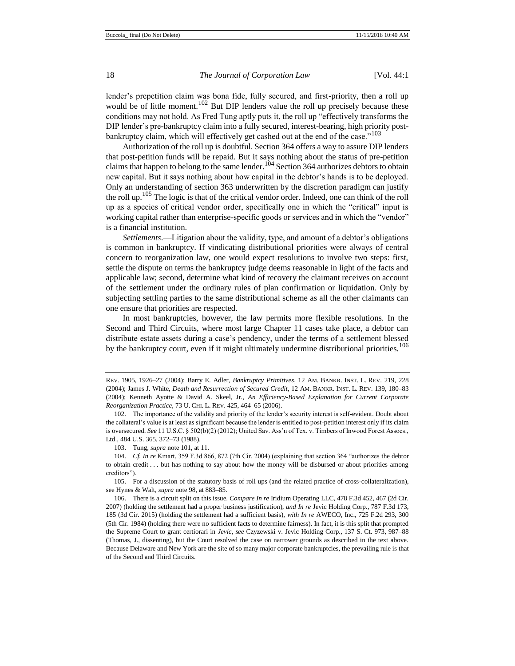lender's prepetition claim was bona fide, fully secured, and first-priority, then a roll up would be of little moment.<sup>102</sup> But DIP lenders value the roll up precisely because these conditions may not hold. As Fred Tung aptly puts it, the roll up "effectively transforms the DIP lender's pre-bankruptcy claim into a fully secured, interest-bearing, high priority postbankruptcy claim, which will effectively get cashed out at the end of the case."<sup>103</sup>

Authorization of the roll up is doubtful. Section 364 offers a way to assure DIP lenders that post-petition funds will be repaid. But it says nothing about the status of pre-petition claims that happen to belong to the same lender.<sup>104</sup> Section 364 authorizes debtors to obtain new capital. But it says nothing about how capital in the debtor's hands is to be deployed. Only an understanding of section 363 underwritten by the discretion paradigm can justify the roll up.<sup>105</sup> The logic is that of the critical vendor order. Indeed, one can think of the roll up as a species of critical vendor order, specifically one in which the "critical" input is working capital rather than enterprise-specific goods or services and in which the "vendor" is a financial institution.

*Settlements*.—Litigation about the validity, type, and amount of a debtor's obligations is common in bankruptcy. If vindicating distributional priorities were always of central concern to reorganization law, one would expect resolutions to involve two steps: first, settle the dispute on terms the bankruptcy judge deems reasonable in light of the facts and applicable law; second, determine what kind of recovery the claimant receives on account of the settlement under the ordinary rules of plan confirmation or liquidation. Only by subjecting settling parties to the same distributional scheme as all the other claimants can one ensure that priorities are respected.

In most bankruptcies, however, the law permits more flexible resolutions. In the Second and Third Circuits, where most large Chapter 11 cases take place, a debtor can distribute estate assets during a case's pendency, under the terms of a settlement blessed by the bankruptcy court, even if it might ultimately undermine distributional priorities.<sup>106</sup>

REV. 1905, 1926–27 (2004); Barry E. Adler, *Bankruptcy Primitives*, 12 AM. BANKR. INST. L. REV. 219, 228 (2004); James J. White, *Death and Resurrection of Secured Credit*, 12 AM. BANKR. INST. L. REV. 139, 180–83 (2004); Kenneth Ayotte & David A. Skeel, Jr., *An Efficiency-Based Explanation for Current Corporate Reorganization Practice*, 73 U. CHI. L. REV. 425, 464–65 (2006).

<sup>102.</sup> The importance of the validity and priority of the lender's security interest is self-evident. Doubt about the collateral's value is at least as significant because the lender is entitled to post-petition interest only if its claim is oversecured. *See* 11 U.S.C. § 502(b)(2) (2012); United Sav. Ass'n of Tex. v. Timbers of Inwood Forest Assocs., Ltd., 484 U.S. 365, 372–73 (1988).

<sup>103.</sup> Tung, *supra* note 101, at 11.

<sup>104.</sup> *Cf. In re* Kmart, 359 F.3d 866, 872 (7th Cir. 2004) (explaining that section 364 "authorizes the debtor to obtain credit . . . but has nothing to say about how the money will be disbursed or about priorities among creditors").

<sup>105.</sup> For a discussion of the statutory basis of roll ups (and the related practice of cross-collateralization), see Hynes & Walt, *supra* not[e 98,](#page-16-0) at 883–85.

<sup>106.</sup> There is a circuit split on this issue. *Compare In re* Iridium Operating LLC, 478 F.3d 452, 467 (2d Cir. 2007) (holding the settlement had a proper business justification), *and In re* Jevic Holding Corp., 787 F.3d 173, 185 (3d Cir. 2015) (holding the settlement had a sufficient basis), *with In re* AWECO, Inc., 725 F.2d 293, 300 (5th Cir. 1984) (holding there were no sufficient facts to determine fairness). In fact, it is this split that prompted the Supreme Court to grant certiorari in *Jevic*, *see* Czyzewski v. Jevic Holding Corp., 137 S. Ct. 973, 987–88 (Thomas, J., dissenting), but the Court resolved the case on narrower grounds as described in the text above. Because Delaware and New York are the site of so many major corporate bankruptcies, the prevailing rule is that of the Second and Third Circuits.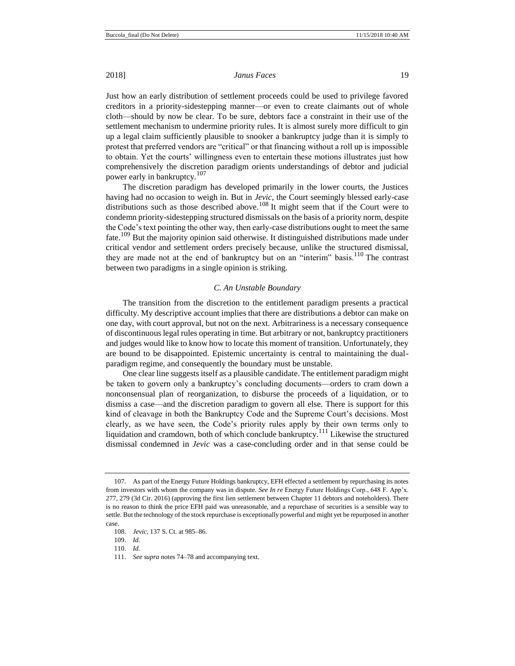Just how an early distribution of settlement proceeds could be used to privilege favored creditors in a priority-sidestepping manner—or even to create claimants out of whole cloth—should by now be clear. To be sure, debtors face a constraint in their use of the settlement mechanism to undermine priority rules. It is almost surely more difficult to gin up a legal claim sufficiently plausible to snooker a bankruptcy judge than it is simply to protest that preferred vendors are "critical" or that financing without a roll up is impossible to obtain. Yet the courts' willingness even to entertain these motions illustrates just how comprehensively the discretion paradigm orients understandings of debtor and judicial

power early in bankruptcy.<sup>107</sup> The discretion paradigm has developed primarily in the lower courts, the Justices having had no occasion to weigh in. But in *Jevic*, the Court seemingly blessed early-case distributions such as those described above.<sup>108</sup> It might seem that if the Court were to condemn priority-sidestepping structured dismissals on the basis of a priority norm, despite the Code's text pointing the other way, then early-case distributions ought to meet the same fate.<sup>109</sup> But the majority opinion said otherwise. It distinguished distributions made under critical vendor and settlement orders precisely because, unlike the structured dismissal, they are made not at the end of bankruptcy but on an "interim" basis.<sup>110</sup> The contrast between two paradigms in a single opinion is striking.

#### *C. An Unstable Boundary*

The transition from the discretion to the entitlement paradigm presents a practical difficulty. My descriptive account implies that there are distributions a debtor can make on one day, with court approval, but not on the next. Arbitrariness is a necessary consequence of discontinuous legal rules operating in time. But arbitrary or not, bankruptcy practitioners and judges would like to know how to locate this moment of transition. Unfortunately, they are bound to be disappointed. Epistemic uncertainty is central to maintaining the dualparadigm regime, and consequently the boundary must be unstable.

One clear line suggests itself as a plausible candidate. The entitlement paradigm might be taken to govern only a bankruptcy's concluding documents—orders to cram down a nonconsensual plan of reorganization, to disburse the proceeds of a liquidation, or to dismiss a case—and the discretion paradigm to govern all else. There is support for this kind of cleavage in both the Bankruptcy Code and the Supreme Court's decisions. Most clearly, as we have seen, the Code's priority rules apply by their own terms only to liquidation and cramdown, both of which conclude bankruptcy.<sup>111</sup> Likewise the structured dismissal condemned in *Jevic* was a case-concluding order and in that sense could be

109. *Id.*

<sup>107.</sup> As part of the Energy Future Holdings bankruptcy, EFH effected a settlement by repurchasing its notes from investors with whom the company was in dispute. *See In re* Energy Future Holdings Corp., 648 F. App'x. 277, 279 (3d Cir. 2016) (approving the first lien settlement between Chapter 11 debtors and noteholders). There is no reason to think the price EFH paid was unreasonable, and a repurchase of securities is a sensible way to settle. But the technology of the stock repurchase is exceptionally powerful and might yet be repurposed in another case.

<sup>108.</sup> *Jevic*, 137 S. Ct. at 985–86.

<sup>110.</sup> *Id.*

<sup>111.</sup> *See supra* notes 74–78 and accompanying text.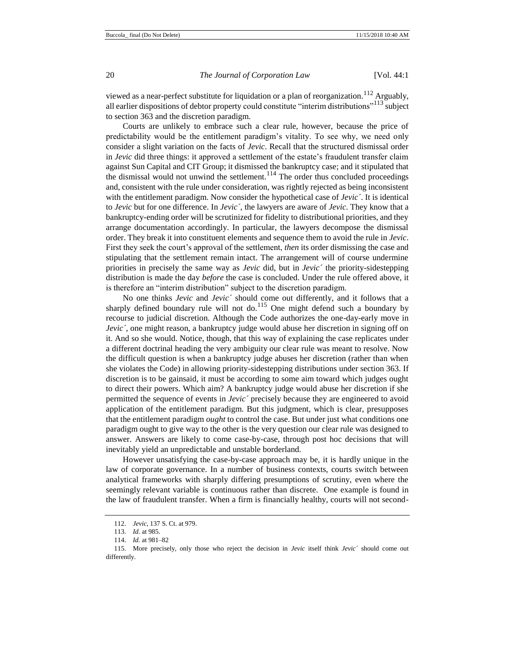viewed as a near-perfect substitute for liquidation or a plan of reorganization.<sup>112</sup> Arguably, all earlier dispositions of debtor property could constitute "interim distributions"<sup>113</sup> subject to section 363 and the discretion paradigm.

Courts are unlikely to embrace such a clear rule, however, because the price of predictability would be the entitlement paradigm's vitality. To see why, we need only consider a slight variation on the facts of *Jevic*. Recall that the structured dismissal order in *Jevic* did three things: it approved a settlement of the estate's fraudulent transfer claim against Sun Capital and CIT Group; it dismissed the bankruptcy case; and it stipulated that the dismissal would not unwind the settlement.<sup>114</sup> The order thus concluded proceedings and, consistent with the rule under consideration, was rightly rejected as being inconsistent with the entitlement paradigm. Now consider the hypothetical case of *Jevic´*. It is identical to *Jevic* but for one difference. In *Jevic´*, the lawyers are aware of *Jevic*. They know that a bankruptcy-ending order will be scrutinized for fidelity to distributional priorities, and they arrange documentation accordingly. In particular, the lawyers decompose the dismissal order. They break it into constituent elements and sequence them to avoid the rule in *Jevic*. First they seek the court's approval of the settlement, *then* its order dismissing the case and stipulating that the settlement remain intact. The arrangement will of course undermine priorities in precisely the same way as *Jevic* did, but in *Jevic´* the priority-sidestepping distribution is made the day *before* the case is concluded. Under the rule offered above, it is therefore an "interim distribution" subject to the discretion paradigm.

No one thinks *Jevic* and *Jevic´* should come out differently, and it follows that a sharply defined boundary rule will not do.<sup>115</sup> One might defend such a boundary by recourse to judicial discretion. Although the Code authorizes the one-day-early move in *Jevic*<sup>'</sup>, one might reason, a bankruptcy judge would abuse her discretion in signing off on it. And so she would. Notice, though, that this way of explaining the case replicates under a different doctrinal heading the very ambiguity our clear rule was meant to resolve. Now the difficult question is when a bankruptcy judge abuses her discretion (rather than when she violates the Code) in allowing priority-sidestepping distributions under section 363. If discretion is to be gainsaid, it must be according to some aim toward which judges ought to direct their powers. Which aim? A bankruptcy judge would abuse her discretion if she permitted the sequence of events in *Jevic´* precisely because they are engineered to avoid application of the entitlement paradigm. But this judgment, which is clear, presupposes that the entitlement paradigm *ought* to control the case. But under just what conditions one paradigm ought to give way to the other is the very question our clear rule was designed to answer. Answers are likely to come case-by-case, through post hoc decisions that will inevitably yield an unpredictable and unstable borderland.

However unsatisfying the case-by-case approach may be, it is hardly unique in the law of corporate governance. In a number of business contexts, courts switch between analytical frameworks with sharply differing presumptions of scrutiny, even where the seemingly relevant variable is continuous rather than discrete. One example is found in the law of fraudulent transfer. When a firm is financially healthy, courts will not second-

<sup>112.</sup> *Jevic*, 137 S. Ct. at 979.

<sup>113.</sup> *Id.* at 985.

<sup>114.</sup> *Id.* at 981–82

<sup>115.</sup> More precisely, only those who reject the decision in *Jevic* itself think *Jevic´* should come out differently.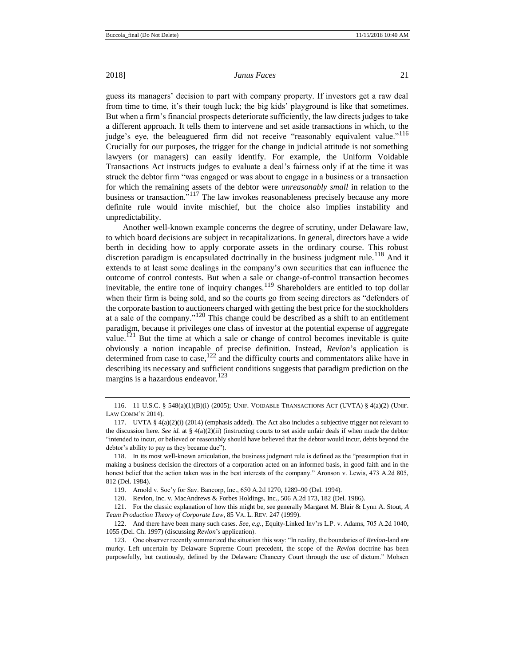guess its managers' decision to part with company property. If investors get a raw deal from time to time, it's their tough luck; the big kids' playground is like that sometimes. But when a firm's financial prospects deteriorate sufficiently, the law directs judges to take a different approach. It tells them to intervene and set aside transactions in which, to the judge's eye, the beleaguered firm did not receive "reasonably equivalent value."<sup>116</sup> Crucially for our purposes, the trigger for the change in judicial attitude is not something lawyers (or managers) can easily identify. For example, the Uniform Voidable Transactions Act instructs judges to evaluate a deal's fairness only if at the time it was struck the debtor firm "was engaged or was about to engage in a business or a transaction for which the remaining assets of the debtor were *unreasonably small* in relation to the business or transaction."<sup>117</sup> The law invokes reasonableness precisely because any more definite rule would invite mischief, but the choice also implies instability and unpredictability.

Another well-known example concerns the degree of scrutiny, under Delaware law, to which board decisions are subject in recapitalizations. In general, directors have a wide berth in deciding how to apply corporate assets in the ordinary course. This robust discretion paradigm is encapsulated doctrinally in the business judgment rule.<sup>118</sup> And it extends to at least some dealings in the company's own securities that can influence the outcome of control contests. But when a sale or change-of-control transaction becomes inevitable, the entire tone of inquiry changes.<sup>119</sup> Shareholders are entitled to top dollar when their firm is being sold, and so the courts go from seeing directors as "defenders of the corporate bastion to auctioneers charged with getting the best price for the stockholders at a sale of the company." $120$  This change could be described as a shift to an entitlement paradigm, because it privileges one class of investor at the potential expense of aggregate value.<sup>121</sup> But the time at which a sale or change of control becomes inevitable is quite obviously a notion incapable of precise definition. Instead, *Revlon*'s application is determined from case to case,  $122$  and the difficulty courts and commentators alike have in describing its necessary and sufficient conditions suggests that paradigm prediction on the margins is a hazardous endeavor.<sup>123</sup>

<sup>116.</sup> 11 U.S.C. § 548(a)(1)(B)(i) (2005); UNIF. VOIDABLE TRANSACTIONS ACT (UVTA) § 4(a)(2) (UNIF. LAW COMM'N 2014).

<sup>117.</sup> UVTA § 4(a)(2)(i) (2014) (emphasis added). The Act also includes a subjective trigger not relevant to the discussion here. *See id.* at § 4(a)(2)(ii) (instructing courts to set aside unfair deals if when made the debtor "intended to incur, or believed or reasonably should have believed that the debtor would incur, debts beyond the debtor's ability to pay as they became due").

<sup>118.</sup> In its most well-known articulation, the business judgment rule is defined as the "presumption that in making a business decision the directors of a corporation acted on an informed basis, in good faith and in the honest belief that the action taken was in the best interests of the company." Aronson v. Lewis, 473 A.2d 805, 812 (Del. 1984).

<sup>119.</sup> Arnold v. Soc'y for Sav. Bancorp, Inc., 650 A.2d 1270, 1289–90 (Del. 1994).

<sup>120.</sup> Revlon, Inc. v. MacAndrews & Forbes Holdings, Inc., 506 A.2d 173, 182 (Del. 1986).

<sup>121.</sup> For the classic explanation of how this might be, see generally Margaret M. Blair & Lynn A. Stout, *A Team Production Theory of Corporate Law*, 85 VA. L. REV. 247 (1999).

<sup>122.</sup> And there have been many such cases. *See, e.g.*, Equity-Linked Inv'rs L.P. v. Adams, 705 A.2d 1040, 1055 (Del. Ch. 1997) (discussing *Revlon*'s application).

<sup>123.</sup> One observer recently summarized the situation this way: "In reality, the boundaries of *Revlon*-land are murky. Left uncertain by Delaware Supreme Court precedent, the scope of the *Revlon* doctrine has been purposefully, but cautiously, defined by the Delaware Chancery Court through the use of dictum." Mohsen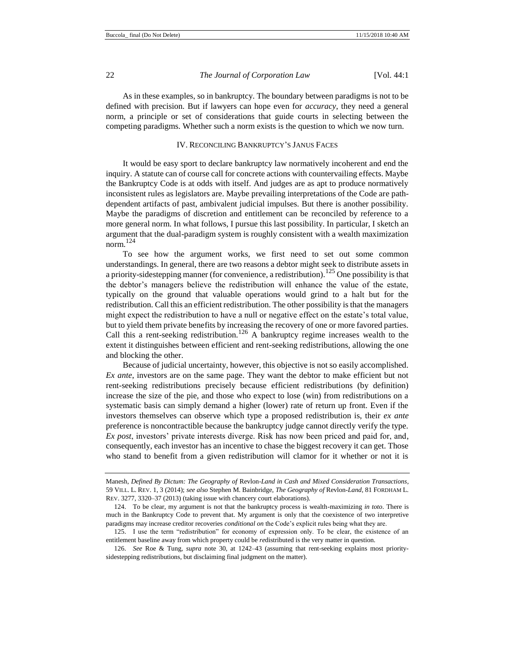As in these examples, so in bankruptcy. The boundary between paradigms is not to be defined with precision. But if lawyers can hope even for *accuracy*, they need a general norm, a principle or set of considerations that guide courts in selecting between the competing paradigms. Whether such a norm exists is the question to which we now turn.

# IV. RECONCILING BANKRUPTCY'S JANUS FACES

It would be easy sport to declare bankruptcy law normatively incoherent and end the inquiry. A statute can of course call for concrete actions with countervailing effects. Maybe the Bankruptcy Code is at odds with itself. And judges are as apt to produce normatively inconsistent rules as legislators are. Maybe prevailing interpretations of the Code are pathdependent artifacts of past, ambivalent judicial impulses. But there is another possibility. Maybe the paradigms of discretion and entitlement can be reconciled by reference to a more general norm. In what follows, I pursue this last possibility. In particular, I sketch an argument that the dual-paradigm system is roughly consistent with a wealth maximization norm.<sup>124</sup>

To see how the argument works, we first need to set out some common understandings. In general, there are two reasons a debtor might seek to distribute assets in a priority-sidestepping manner (for convenience, a redistribution).<sup>125</sup> One possibility is that the debtor's managers believe the redistribution will enhance the value of the estate, typically on the ground that valuable operations would grind to a halt but for the redistribution. Call this an efficient redistribution. The other possibility is that the managers might expect the redistribution to have a null or negative effect on the estate's total value, but to yield them private benefits by increasing the recovery of one or more favored parties. Call this a rent-seeking redistribution.<sup>126</sup> A bankruptcy regime increases wealth to the extent it distinguishes between efficient and rent-seeking redistributions, allowing the one and blocking the other.

Because of judicial uncertainty, however, this objective is not so easily accomplished. *Ex ante*, investors are on the same page. They want the debtor to make efficient but not rent-seeking redistributions precisely because efficient redistributions (by definition) increase the size of the pie, and those who expect to lose (win) from redistributions on a systematic basis can simply demand a higher (lower) rate of return up front. Even if the investors themselves can observe which type a proposed redistribution is, their *ex ante* preference is noncontractible because the bankruptcy judge cannot directly verify the type. *Ex post*, investors' private interests diverge. Risk has now been priced and paid for, and, consequently, each investor has an incentive to chase the biggest recovery it can get. Those who stand to benefit from a given redistribution will clamor for it whether or not it is

Manesh, *Defined By Dictum: The Geography of* Revlon*-Land in Cash and Mixed Consideration Transactions*, 59 VILL. L. REV. 1, 3 (2014); *see also* Stephen M. Bainbridge, *The Geography of* Revlon*-Land*, 81 FORDHAM L. REV. 3277, 3320–37 (2013) (taking issue with chancery court elaborations).

<sup>124.</sup> To be clear, my argument is not that the bankruptcy process is wealth-maximizing *in toto*. There is much in the Bankruptcy Code to prevent that. My argument is only that the coexistence of two interpretive paradigms may increase creditor recoveries *conditional on* the Code's explicit rules being what they are.

<sup>125.</sup> I use the term "redistribution" for economy of expression only. To be clear, the existence of an entitlement baseline away from which property could be *re*distributed is the very matter in question.

<sup>126.</sup> *See* Roe & Tung, *supra* note [30,](#page-7-0) at 1242–43 (assuming that rent-seeking explains most prioritysidestepping redistributions, but disclaiming final judgment on the matter).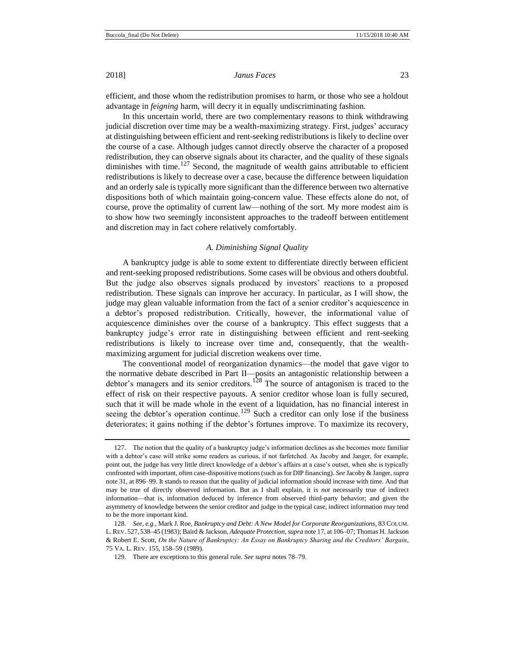efficient, and those whom the redistribution promises to harm, or those who see a holdout advantage in *feigning* harm, will decry it in equally undiscriminating fashion.

In this uncertain world, there are two complementary reasons to think withdrawing judicial discretion over time may be a wealth-maximizing strategy. First, judges' accuracy at distinguishing between efficient and rent-seeking redistributions is likely to decline over the course of a case. Although judges cannot directly observe the character of a proposed redistribution, they can observe signals about its character, and the quality of these signals diminishes with time. $127$  Second, the magnitude of wealth gains attributable to efficient redistributions is likely to decrease over a case, because the difference between liquidation and an orderly sale is typically more significant than the difference between two alternative dispositions both of which maintain going-concern value. These effects alone do not, of course, prove the optimality of current law—nothing of the sort. My more modest aim is to show how two seemingly inconsistent approaches to the tradeoff between entitlement and discretion may in fact cohere relatively comfortably.

#### <span id="page-22-0"></span>*A. Diminishing Signal Quality*

A bankruptcy judge is able to some extent to differentiate directly between efficient and rent-seeking proposed redistributions. Some cases will be obvious and others doubtful. But the judge also observes signals produced by investors' reactions to a proposed redistribution. These signals can improve her accuracy. In particular, as I will show, the judge may glean valuable information from the fact of a senior creditor's acquiescence in a debtor's proposed redistribution. Critically, however, the informational value of acquiescence diminishes over the course of a bankruptcy. This effect suggests that a bankruptcy judge's error rate in distinguishing between efficient and rent-seeking redistributions is likely to increase over time and, consequently, that the wealthmaximizing argument for judicial discretion weakens over time.

The conventional model of reorganization dynamics—the model that gave vigor to the normative debate described in Part II—posits an antagonistic relationship between a debtor's managers and its senior creditors.<sup>128</sup> The source of antagonism is traced to the effect of risk on their respective payouts. A senior creditor whose loan is fully secured, such that it will be made whole in the event of a liquidation, has no financial interest in seeing the debtor's operation continue.<sup>129</sup> Such a creditor can only lose if the business deteriorates; it gains nothing if the debtor's fortunes improve. To maximize its recovery,

<sup>127.</sup> The notion that the quality of a bankruptcy judge's information declines as she becomes more familiar with a debtor's case will strike some readers as curious, if not farfetched. As Jacoby and Janger, for example, point out, the judge has very little direct knowledge of a debtor's affairs at a case's outset, when she is typically confronted with important, often case-dispositive motions (such as for DIP financing). *See* Jacoby & Janger, *supra*  not[e 31,](#page-7-3) at 896–99. It stands to reason that the quality of judicial information should increase with time. And that may be true of directly observed information. But as I shall explain, it is *not* necessarily true of indirect information—that is, information deduced by inference from observed third-party behavior; and given the asymmetry of knowledge between the senior creditor and judge in the typical case, indirect information may tend to be the more important kind.

<sup>128.</sup> *See, e.g.*, Mark J. Roe, *Bankruptcy and Debt: A New Model for Corporate Reorganizations*, 83 COLUM. L. REV. 527, 538–45 (1983); Baird & Jackson, *Adequate Protection*, *supra* not[e 17,](#page-5-0) at 106–07; Thomas H. Jackson & Robert E. Scott, *On the Nature of Bankruptcy: An Essay on Bankruptcy Sharing and the Creditors' Bargain*, 75 VA. L. REV. 155, 158–59 (1989).

<sup>129.</sup> There are exceptions to this general rule. *See supra* note[s 78](#page-13-0)[–79.](#page-13-1)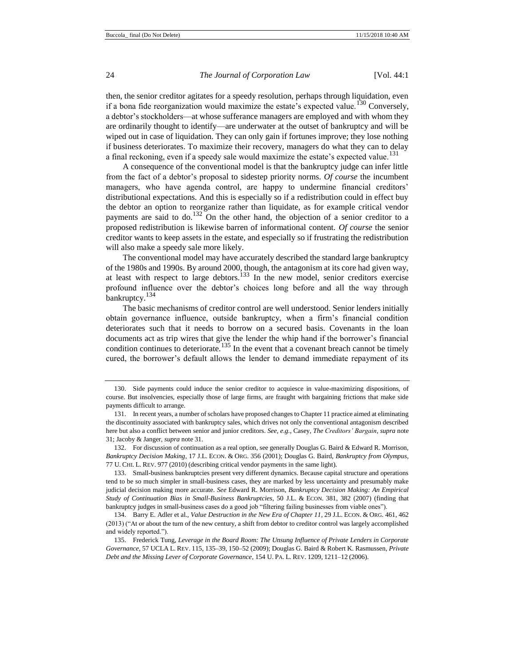then, the senior creditor agitates for a speedy resolution, perhaps through liquidation, even if a bona fide reorganization would maximize the estate's expected value.<sup>130</sup> Conversely, a debtor's stockholders—at whose sufferance managers are employed and with whom they are ordinarily thought to identify—are underwater at the outset of bankruptcy and will be wiped out in case of liquidation. They can only gain if fortunes improve; they lose nothing if business deteriorates. To maximize their recovery, managers do what they can to delay a final reckoning, even if a speedy sale would maximize the estate's expected value.<sup>131</sup>

A consequence of the conventional model is that the bankruptcy judge can infer little from the fact of a debtor's proposal to sidestep priority norms. *Of course* the incumbent managers, who have agenda control, are happy to undermine financial creditors' distributional expectations. And this is especially so if a redistribution could in effect buy the debtor an option to reorganize rather than liquidate, as for example critical vendor payments are said to do.<sup>132</sup> On the other hand, the objection of a senior creditor to a proposed redistribution is likewise barren of informational content. *Of course* the senior creditor wants to keep assets in the estate, and especially so if frustrating the redistribution will also make a speedy sale more likely.

The conventional model may have accurately described the standard large bankruptcy of the 1980s and 1990s. By around 2000, though, the antagonism at its core had given way, at least with respect to large debtors.<sup>133</sup> In the new model, senior creditors exercise profound influence over the debtor's choices long before and all the way through bankruptcy.<sup>134</sup>

The basic mechanisms of creditor control are well understood. Senior lenders initially obtain governance influence, outside bankruptcy, when a firm's financial condition deteriorates such that it needs to borrow on a secured basis. Covenants in the loan documents act as trip wires that give the lender the whip hand if the borrower's financial condition continues to deteriorate.<sup>135</sup> In the event that a covenant breach cannot be timely cured, the borrower's default allows the lender to demand immediate repayment of its

<sup>130.</sup> Side payments could induce the senior creditor to acquiesce in value-maximizing dispositions, of course. But insolvencies, especially those of large firms, are fraught with bargaining frictions that make side payments difficult to arrange.

<sup>131.</sup> In recent years, a number of scholars have proposed changes to Chapter 11 practice aimed at eliminating the discontinuity associated with bankruptcy sales, which drives not only the conventional antagonism described here but also a conflict between senior and junior creditors. *See, e.g.*, Casey, *The Creditors' Bargain*, *supra* note [31;](#page-7-3) Jacoby & Janger, *supra* not[e 31.](#page-7-3) 

<sup>132.</sup> For discussion of continuation as a real option, see generally Douglas G. Baird & Edward R. Morrison, *Bankruptcy Decision Making*, 17 J.L. ECON. & ORG. 356 (2001); Douglas G. Baird, *Bankruptcy from Olympus*, 77 U. CHI. L. REV. 977 (2010) (describing critical vendor payments in the same light).

<sup>133.</sup> Small-business bankruptcies present very different dynamics. Because capital structure and operations tend to be so much simpler in small-business cases, they are marked by less uncertainty and presumably make judicial decision making more accurate. *See* Edward R. Morrison, *Bankruptcy Decision Making: An Empirical Study of Continuation Bias in Small-Business Bankruptcies*, 50 J.L. & ECON. 381, 382 (2007) (finding that bankruptcy judges in small-business cases do a good job "filtering failing businesses from viable ones").

<sup>134.</sup> Barry E. Adler et al., *Value Destruction in the New Era of Chapter 11*, 29 J.L. ECON. & ORG. 461, 462 (2013) ("At or about the turn of the new century, a shift from debtor to creditor control was largely accomplished and widely reported.").

<sup>135.</sup> Frederick Tung, *Leverage in the Board Room: The Unsung Influence of Private Lenders in Corporate Governance*, 57 UCLA L. REV. 115, 135–39, 150–52 (2009); Douglas G. Baird & Robert K. Rasmussen, *Private Debt and the Missing Lever of Corporate Governance*, 154 U. PA. L. REV. 1209, 1211–12 (2006).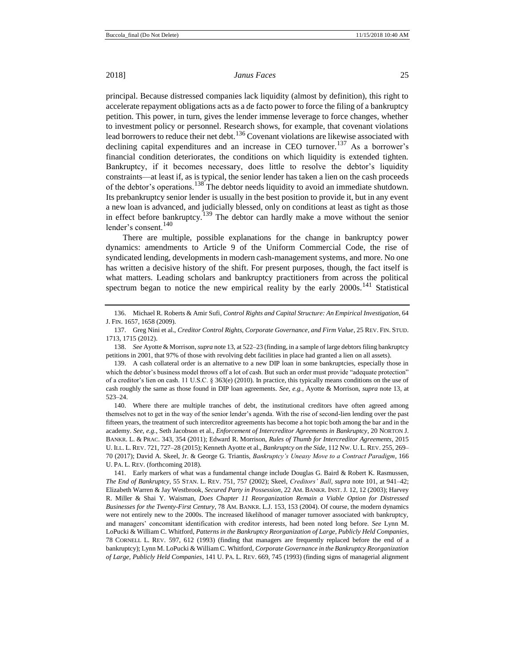principal. Because distressed companies lack liquidity (almost by definition), this right to accelerate repayment obligations acts as a de facto power to force the filing of a bankruptcy petition. This power, in turn, gives the lender immense leverage to force changes, whether to investment policy or personnel. Research shows, for example, that covenant violations lead borrowers to reduce their net debt.<sup>136</sup> Covenant violations are likewise associated with declining capital expenditures and an increase in CEO turnover.<sup>137</sup> As a borrower's financial condition deteriorates, the conditions on which liquidity is extended tighten. Bankruptcy, if it becomes necessary, does little to resolve the debtor's liquidity constraints—at least if, as is typical, the senior lender has taken a lien on the cash proceeds of the debtor's operations.<sup>138</sup> The debtor needs liquidity to avoid an immediate shutdown. Its prebankruptcy senior lender is usually in the best position to provide it, but in any event a new loan is advanced, and judicially blessed, only on conditions at least as tight as those in effect before bankruptcy.<sup>139</sup> The debtor can hardly make a move without the senior lender's consent.<sup>140</sup>

There are multiple, possible explanations for the change in bankruptcy power dynamics: amendments to Article 9 of the Uniform Commercial Code, the rise of syndicated lending, developments in modern cash-management systems, and more. No one has written a decisive history of the shift. For present purposes, though, the fact itself is what matters. Leading scholars and bankruptcy practitioners from across the political spectrum began to notice the new empirical reality by the early  $2000s$ .<sup>141</sup> Statistical

<sup>136.</sup> Michael R. Roberts & Amir Sufi, *Control Rights and Capital Structure: An Empirical Investigation*, 64 J. FIN. 1657, 1658 (2009).

<sup>137.</sup> Greg Nini et al., *Creditor Control Rights, Corporate Governance, and Firm Value*, 25 REV. FIN. STUD. 1713, 1715 (2012).

<sup>138.</sup> *See* Ayotte & Morrison, *supra* not[e 13,](#page-3-0) at 522–23 (finding, in a sample of large debtors filing bankruptcy petitions in 2001, that 97% of those with revolving debt facilities in place had granted a lien on all assets).

<sup>139.</sup> A cash collateral order is an alternative to a new DIP loan in some bankruptcies, especially those in which the debtor's business model throws off a lot of cash. But such an order must provide "adequate protection" of a creditor's lien on cash. 11 U.S.C. § 363(e) (2010). In practice, this typically means conditions on the use of cash roughly the same as those found in DIP loan agreements. *See, e.g.*, Ayotte & Morrison, *supra* note 13, at 523–24.

<sup>140.</sup> Where there are multiple tranches of debt, the institutional creditors have often agreed among themselves not to get in the way of the senior lender's agenda. With the rise of second-lien lending over the past fifteen years, the treatment of such intercreditor agreements has become a hot topic both among the bar and in the academy. *See, e.g.*, Seth Jacobson et al., *Enforcement of Intercreditor Agreements in Bankruptcy*, 20 NORTON J. BANKR. L. & PRAC. 343, 354 (2011); Edward R. Morrison, *Rules of Thumb for Intercreditor Agreements*, 2015 U. ILL. L. REV. 721, 727–28 (2015); Kenneth Ayotte et al., *Bankruptcy on the Side*, 112 NW. U. L. REV. 255, 269– 70 (2017); David A. Skeel, Jr. & George G. Triantis, *Bankruptcy's Uneasy Move to a Contract Paradigm*, 166 U. PA. L. REV. (forthcoming 2018).

<sup>141.</sup> Early markers of what was a fundamental change include Douglas G. Baird & Robert K. Rasmussen, *The End of Bankruptcy*, 55 STAN. L. REV. 751, 757 (2002); Skeel, *Creditors' Ball*, *supra* note [101,](#page-16-1) at 941–42; Elizabeth Warren & Jay Westbrook, *Secured Party in Possession*, 22 AM. BANKR. INST. J. 12, 12 (2003); Harvey R. Miller & Shai Y. Waisman, *Does Chapter 11 Reorganization Remain a Viable Option for Distressed Businesses for the Twenty-First Century*, 78 AM. BANKR. L.J. 153, 153 (2004). Of course, the modern dynamics were not entirely new to the 2000s. The increased likelihood of manager turnover associated with bankruptcy, and managers' concomitant identification with creditor interests, had been noted long before. *See* Lynn M. LoPucki & William C. Whitford, *Patterns in the Bankruptcy Reorganization of Large, Publicly Held Companies*, 78 CORNELL L. REV. 597, 612 (1993) (finding that managers are frequently replaced before the end of a bankruptcy); Lynn M. LoPucki & William C. Whitford, *Corporate Governance in the Bankruptcy Reorganization of Large, Publicly Held Companies*, 141 U. PA. L. REV. 669, 745 (1993) (finding signs of managerial alignment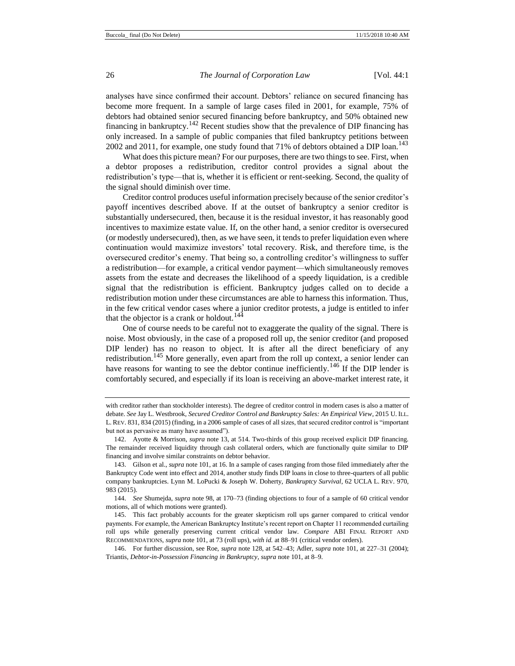analyses have since confirmed their account. Debtors' reliance on secured financing has become more frequent. In a sample of large cases filed in 2001, for example, 75% of debtors had obtained senior secured financing before bankruptcy, and 50% obtained new financing in bankruptcy.<sup>142</sup> Recent studies show that the prevalence of DIP financing has only increased. In a sample of public companies that filed bankruptcy petitions between 2002 and 2011, for example, one study found that  $71\%$  of debtors obtained a DIP loan.<sup>143</sup>

What does this picture mean? For our purposes, there are two things to see. First, when a debtor proposes a redistribution, creditor control provides a signal about the redistribution's type—that is, whether it is efficient or rent-seeking. Second, the quality of the signal should diminish over time.

Creditor control produces useful information precisely because of the senior creditor's payoff incentives described above. If at the outset of bankruptcy a senior creditor is substantially undersecured, then, because it is the residual investor, it has reasonably good incentives to maximize estate value. If, on the other hand, a senior creditor is oversecured (or modestly undersecured), then, as we have seen, it tends to prefer liquidation even where continuation would maximize investors' total recovery. Risk, and therefore time, is the oversecured creditor's enemy. That being so, a controlling creditor's willingness to suffer a redistribution—for example, a critical vendor payment—which simultaneously removes assets from the estate and decreases the likelihood of a speedy liquidation, is a credible signal that the redistribution is efficient. Bankruptcy judges called on to decide a redistribution motion under these circumstances are able to harness this information. Thus, in the few critical vendor cases where a junior creditor protests, a judge is entitled to infer that the objector is a crank or holdout.<sup>144</sup>

One of course needs to be careful not to exaggerate the quality of the signal. There is noise. Most obviously, in the case of a proposed roll up, the senior creditor (and proposed DIP lender) has no reason to object. It is after all the direct beneficiary of any redistribution.<sup>145</sup> More generally, even apart from the roll up context, a senior lender can have reasons for wanting to see the debtor continue inefficiently.<sup>146</sup> If the DIP lender is comfortably secured, and especially if its loan is receiving an above-market interest rate, it

144. *See* Shumejda, *supra* not[e 98,](#page-16-0) at 170–73 (finding objections to four of a sample of 60 critical vendor motions, all of which motions were granted).

145. This fact probably accounts for the greater skepticism roll ups garner compared to critical vendor payments. For example, the American Bankruptcy Institute's recent report on Chapter 11 recommended curtailing roll ups while generally preserving current critical vendor law. *Compare* ABI FINAL REPORT AND RECOMMENDATIONS, *supra* note 101, at 73 (roll ups), *with id.* at 88–91 (critical vendor orders).

146. For further discussion, see Roe, *supra* not[e 128,](#page-22-0) at 542–43; Adler, *supra* note 101, at 227–31 (2004); Triantis, *Debtor-in-Possession Financing in Bankruptcy*, *supra* not[e 101,](#page-16-1) at 8–9.

with creditor rather than stockholder interests). The degree of creditor control in modern cases is also a matter of debate. *See* Jay L. Westbrook, *Secured Creditor Control and Bankruptcy Sales: An Empirical View*, 2015 U. ILL. L. REV. 831, 834 (2015) (finding, in a 2006 sample of cases of all sizes, that secured creditor control is "important but not as pervasive as many have assumed").

<sup>142.</sup> Ayotte & Morrison, *supra* not[e 13,](#page-3-0) at 514. Two-thirds of this group received explicit DIP financing. The remainder received liquidity through cash collateral orders, which are functionally quite similar to DIP financing and involve similar constraints on debtor behavior.

<sup>143.</sup> Gilson et al., *supra* note 101, at 16. In a sample of cases ranging from those filed immediately after the Bankruptcy Code went into effect and 2014, another study finds DIP loans in close to three-quarters of all public company bankruptcies. Lynn M. LoPucki & Joseph W. Doherty, *Bankruptcy Survival*, 62 UCLA L. REV. 970, 983 (2015).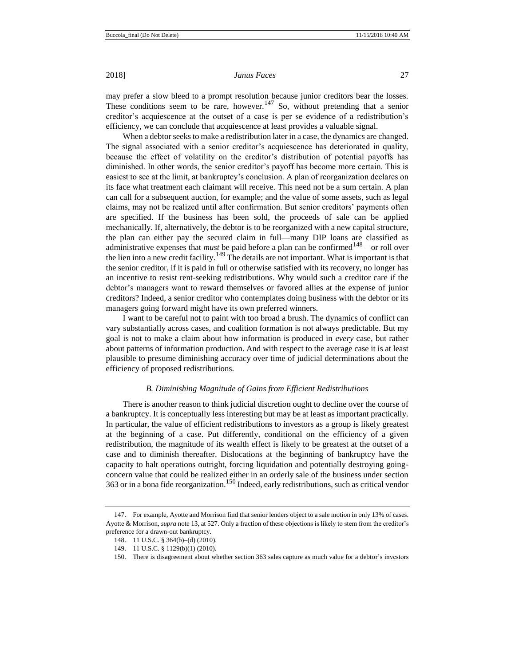may prefer a slow bleed to a prompt resolution because junior creditors bear the losses. These conditions seem to be rare, however.<sup>147</sup> So, without pretending that a senior creditor's acquiescence at the outset of a case is per se evidence of a redistribution's efficiency, we can conclude that acquiescence at least provides a valuable signal.

When a debtor seeks to make a redistribution later in a case, the dynamics are changed. The signal associated with a senior creditor's acquiescence has deteriorated in quality, because the effect of volatility on the creditor's distribution of potential payoffs has diminished. In other words, the senior creditor's payoff has become more certain. This is easiest to see at the limit, at bankruptcy's conclusion. A plan of reorganization declares on its face what treatment each claimant will receive. This need not be a sum certain. A plan can call for a subsequent auction, for example; and the value of some assets, such as legal claims, may not be realized until after confirmation. But senior creditors' payments often are specified. If the business has been sold, the proceeds of sale can be applied mechanically. If, alternatively, the debtor is to be reorganized with a new capital structure, the plan can either pay the secured claim in full—many DIP loans are classified as administrative expenses that *must* be paid before a plan can be confirmed<sup>148</sup>—or roll over the lien into a new credit facility.<sup>149</sup> The details are not important. What is important is that the senior creditor, if it is paid in full or otherwise satisfied with its recovery, no longer has an incentive to resist rent-seeking redistributions. Why would such a creditor care if the debtor's managers want to reward themselves or favored allies at the expense of junior creditors? Indeed, a senior creditor who contemplates doing business with the debtor or its managers going forward might have its own preferred winners.

I want to be careful not to paint with too broad a brush. The dynamics of conflict can vary substantially across cases, and coalition formation is not always predictable. But my goal is not to make a claim about how information is produced in *every* case, but rather about patterns of information production. And with respect to the average case it is at least plausible to presume diminishing accuracy over time of judicial determinations about the efficiency of proposed redistributions.

#### *B. Diminishing Magnitude of Gains from Efficient Redistributions*

There is another reason to think judicial discretion ought to decline over the course of a bankruptcy. It is conceptually less interesting but may be at least as important practically. In particular, the value of efficient redistributions to investors as a group is likely greatest at the beginning of a case. Put differently, conditional on the efficiency of a given redistribution, the magnitude of its wealth effect is likely to be greatest at the outset of a case and to diminish thereafter. Dislocations at the beginning of bankruptcy have the capacity to halt operations outright, forcing liquidation and potentially destroying goingconcern value that could be realized either in an orderly sale of the business under section 363 or in a bona fide reorganization.<sup>150</sup> Indeed, early redistributions, such as critical vendor

<sup>147.</sup> For example, Ayotte and Morrison find that senior lenders object to a sale motion in only 13% of cases. Ayotte & Morrison, *supra* not[e 13,](#page-3-0) at 527. Only a fraction of these objections is likely to stem from the creditor's preference for a drawn-out bankruptcy.

<sup>148.</sup> 11 U.S.C. § 364(b)–(d) (2010).

<sup>149.</sup> 11 U.S.C. § 1129(b)(1) (2010).

<sup>150.</sup> There is disagreement about whether section 363 sales capture as much value for a debtor's investors